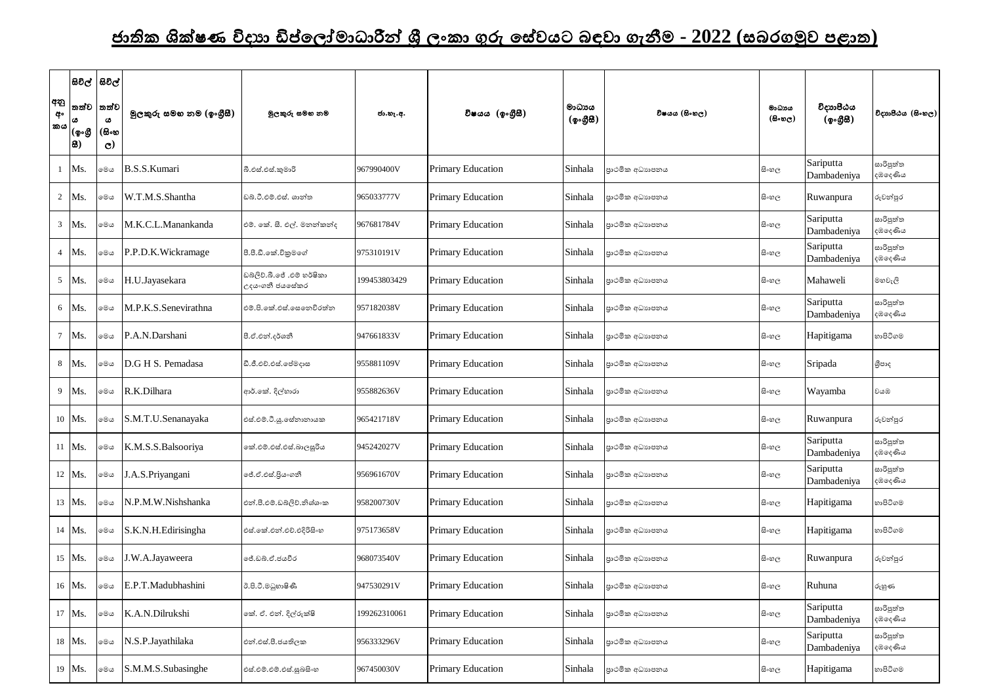## <u>ජාතික ශික්ෂණ විදාහ ඩිප්ලෝමාධාරීන් ශී ලංකා ගුරු සේවයට බඳවා ගැනීම - 2022 (සබරගමුව පළාත)</u>

|                 | සිවිල්  සිවිල්               |                          |                         |                                              |              |                          |                     |                |                                |                          |                      |
|-----------------|------------------------------|--------------------------|-------------------------|----------------------------------------------|--------------|--------------------------|---------------------|----------------|--------------------------------|--------------------------|----------------------|
| අනු<br>අං<br>කය | තත්ව<br>۱cs<br>∣(စ့∘൫<br>I8) | තත්ව<br>ය<br>(සිංහ<br>C) | මූලකුරු සමහ නම (ඉංගීසී) | මුලකුරු සමහ නම                               | ජා.හැ.අ.     | විෂයය (ඉංගීුසී)          | මාධායය<br>(ඉංගුිසි) | විෂයය (සිංහල)  | මාධායය<br>$(B \circ \omega_C)$ | විදාහපීඨය<br>(ඉංගීසි)    | විදාහපීඨය (සිංහල)    |
|                 | Ms.                          | මෙය                      | <b>B.S.S.Kumari</b>     | බී.එස්.එස්.කුමාරි                            | 967990400V   | <b>Primary Education</b> | Sinhala             | පාථමික අධාහපනය | සි∘හල                          | Sariputta<br>Dambadeniya | සාරිපුත්ත<br>දඹදෙණිය |
| $\overline{2}$  | Ms.                          | මෙය                      | W.T.M.S.Shantha         | ඩබ්.ටී.එම්.එස්. ශාන්ත                        | 965033777V   | <b>Primary Education</b> | Sinhala             | පාථමික අධාහපනය | සි∘හල                          | Ruwanpura                | රුවන්පුර             |
| 3 <sup>7</sup>  | Ms.                          | මෙල                      | M.K.C.L.Manankanda      | එම්. කේ. සී. එල්. මනන්කන්ද                   | 967681784V   | <b>Primary Education</b> | Sinhala             | පාථමික අධාහපනය | සි∘හල                          | Sariputta<br>Dambadeniya | සාරිපුත්ත<br>දඹදෙණිය |
|                 | Ms.                          | මෙය                      | P.P.D.K. Wickramage     | පී.පී.ඩී.කේ.විකුමගේ                          | 975310191V   | Primary Education        | Sinhala             | පාථමික අධාහපනය | සි∘හල                          | Sariputta<br>Dambadeniya | සාරිපුත්ත<br>දඹදෙණිය |
| 5 <sup>5</sup>  | Ms.                          | මෙය                      | H.U.Jayasekara          | ඩබ්ලිව්.බී.ජේ .එම් හර්ෂිකා<br>උදයංගනී ජයසේකර | 199453803429 | <b>Primary Education</b> | Sinhala             | පාථමික අධාහපනය | සි∘හල                          | Mahaweli                 | මහවැලි               |
| 6               | Ms.                          | මෙය                      | M.P.K.S.Senevirathna    | එම්.පි.කේ.එස්.සෙතෙවිරත්න                     | 957182038V   | <b>Primary Education</b> | Sinhala             | පාථමික අධාහපනය | සි∘හල                          | Sariputta<br>Dambadeniya | සාරිපුත්ත<br>දඹදෙණිය |
| $\overline{7}$  | Ms.                          | මෙය                      | P.A.N.Darshani          | පී.ඒ.එන්.දර්ශනී                              | 947661833V   | <b>Primary Education</b> | Sinhala             | පාථමික අධාහපනය | සි∘හල                          | Hapitigama               | හාපිටිගම             |
| 8               | Ms.                          | මෙය                      | D.G H S. Pemadasa       | ඩී.ජී.එච්.එස්.ජේමදාස                         | 955881109V   | <b>Primary Education</b> | Sinhala             | පාථමික අධාහපනය | සි∘හල                          | Sripada                  | ශීපාද                |
| 9               | Ms.                          | මෙය                      | R.K.Dilhara             | ආර්.කේ. දිල්හාරා                             | 955882636V   | Primary Education        | Sinhala             | පාථමික අධාහපනය | සි∘හල                          | Wayamba                  | වයඹ                  |
|                 | 10   Ms.                     | මෙය                      | S.M.T.U.Senanayaka      | එස්.එම්.ටී.යූ.සේනානායක                       | 965421718V   | <b>Primary Education</b> | Sinhala             | පාථමික අධාහපනය | සි∘හල                          | Ruwanpura                | රුවන්පුර             |
|                 | 11 Ms.                       | මෙය                      | K.M.S.S.Balsooriya      | කේ.එම්.එස්.එස්.බාලසූරිය                      | 945242027V   | Primary Education        | Sinhala             | පාථමික අධාහපනය | සි∘හල                          | Sariputta<br>Dambadeniya | සාරිපුත්ත<br>දඹදෙණිය |
|                 | 12 Ms.                       | මෙය                      | J.A.S. Priyangani       | ලේ.ඒ.එස්.පිුය∘ගනී                            | 956961670V   | Primary Education        | Sinhala             | පාථමික අධාහපනය | සි∘හල                          | Sariputta<br>Dambadeniya | සාරිපුත්ත<br>දඹදෙණිය |
|                 | 13 Ms.                       | මෙය                      | N.P.M.W.Nishshanka      | එන්.පී.එම්.ඩබ්ලිව්.නිශ්ශංක                   | 958200730V   | Primary Education        | Sinhala             | පාථමික අධාහපනය | සිංහල                          | Hapitigama               | හාපිටිගම             |
|                 | 14 Ms.                       | මෙය                      | S.K.N.H.Edirisingha     | එස්.කේ.එන්.එච්.එදිරිසිංහ                     | 975173658V   | <b>Primary Education</b> | Sinhala             | පාථමික අධාහපනය | සි∘හල                          | Hapitigama               | හාපිටිගම             |
|                 | 15 Ms.                       | මෙය                      | .W.A.Jayaweera          | ජේ.ඩබ්.ඒ.ජයවීර                               | 968073540V   | Primary Education        | Sinhala             | පාථමික අධාහපනය | සි∘හල                          | Ruwanpura                | රුවන්පුර             |
|                 | 16 Ms.                       | මෙය                      | E.P.T.Madubhashini      | ඊ.පි.ටී.මධුහාෂිණී                            | 947530291V   | Primary Education        | Sinhala             | පාථමික අධාහපනය | සි∘හල                          | Ruhuna                   | රුහුණ                |
|                 | 17 Ms.                       | මෙය                      | K.A.N.Dilrukshi         | කේ. ඒ. එන්. දිල්රුක්ෂි                       | 199262310061 | <b>Primary Education</b> | Sinhala             | පාථමික අධාහපනය | සි∘හල                          | Sariputta<br>Dambadeniya | සාරිපුත්ත<br>දඹදෙණිය |
|                 | 18 Ms.                       | මෙය                      | N.S.P.Jayathilaka       | එන්.එස්.පී.ජයතිලක                            | 956333296V   | <b>Primary Education</b> | Sinhala             | පාථමික අධාහපනය | සි∘හල                          | Sariputta<br>Dambadeniya | සාරිපුත්ත<br>දඹදෙණිය |
|                 | 19 Ms.                       | මෙය                      | S.M.M.S.Subasinghe      | එස්.එම්.එම්.එස්.සුබසිංහ                      | 967450030V   | Primary Education        | Sinhala             | පාථමික අධාහපනය | සිංහල                          | Hapitigama               | හාපිටිගම             |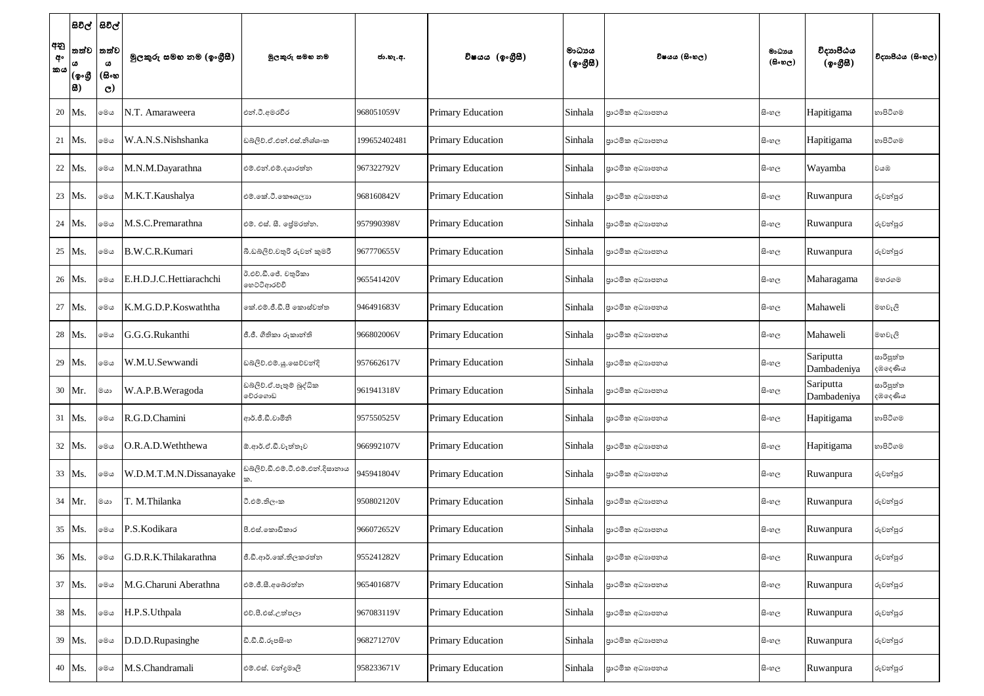|                  |               | සිවිල්  සිවිල්        |                          |                                      |              |                          |                                                  |                 |                                      |                          |                      |
|------------------|---------------|-----------------------|--------------------------|--------------------------------------|--------------|--------------------------|--------------------------------------------------|-----------------|--------------------------------------|--------------------------|----------------------|
| අනු<br>අං<br> කය |               | තත්ව  තත්ව<br>ω       | මූලකුරු සමහ නම (ඉංගුීසී) | මූලකුරු සමහ නම                       | ජා.හැ.අ.     | විෂයය (ඉංගීුසි)          | මාධායය<br>$(\phi \circ \mathcal{B} \mathcal{B})$ | විෂයය (සිංහල)   | මාධායය<br>$(B \circ \circledcirc_C)$ | විදාහපීඨය<br>(ඉංගීසී)    | විදාහපීඨය (සිංහල)    |
|                  | (ඉංගී<br> සි) | (සිංහ<br>$\mathbf{C}$ |                          |                                      |              |                          |                                                  |                 |                                      |                          |                      |
|                  | 20   Ms.      | මෙය                   | N.T. Amaraweera          | එන්.ටී.අමරවීර                        | 968051059V   | <b>Primary Education</b> | Sinhala                                          | පාථමික අධාහපනය  | සිංහල                                | Hapitigama               | හාපිටිගම             |
|                  | 21   Ms.      | මෙය                   | W.A.N.S.Nishshanka       | ඩබ්ලිව්.ඒ.එන්.එස්.නිශ්ශංක            | 199652402481 | <b>Primary Education</b> | Sinhala                                          | පාථමික අධාහපනය  | සිංහල                                | Hapitigama               | හාපිටිගම             |
|                  | 22 Ms.        | මෙය                   | M.N.M.Dayarathna         | එම්.එන්.එම්.දයාරත්න                  | 967322792V   | <b>Primary Education</b> | Sinhala                                          | පාථමික අධාහපනය  | සිංහල                                | Wayamba                  | වයඹ                  |
|                  | 23   Ms.      | මෙය                   | M.K.T.Kaushalya          | එම්.කේ.ටී.කෞශලාන                     | 968160842V   | <b>Primary Education</b> | Sinhala                                          | පාථමික අධාහපනය  | සි∘හල                                | Ruwanpura                | රුවන්පුර             |
|                  | 24 Ms.        | මෙය                   | M.S.C.Premarathna        | එම්. එස්. සී. ලේමරත්න.               | 957990398V   | <b>Primary Education</b> | Sinhala                                          | පාථමික අධාහපනය  | සි∘හල                                | Ruwanpura                | රුවන්පුර             |
|                  | 25 Ms.        | මෙය                   | B.W.C.R.Kumari           | බී.ඩබ්ලිව්.චතුරි රුවන් කුමරි         | 967770655V   | <b>Primary Education</b> | Sinhala                                          | පාථමික අධාහපනය  | සි∘හල                                | Ruwanpura                | රුවන්පුර             |
|                  | 26   Ms.      | මෙය                   | E.H.D.J.C.Hettiarachchi  | ඊ.එච්.ඩී.ජේ. චතුරිකා<br>හෙට්ටිආරච්චි | 965541420V   | <b>Primary Education</b> | Sinhala                                          | පාථමික අධාහපනය  | සි∘හල                                | Maharagama               | මහරගම                |
|                  | 27 Ms.        | මෙල                   | K.M.G.D.P.Koswaththa     | කේ.එම්.ජී.ඩී.පී කොස්වත්ත             | 946491683V   | <b>Primary Education</b> | Sinhala                                          | පාථමික අධාහපනය  | සි∘හල                                | Mahaweli                 | මහවැලි               |
|                  | 28   Ms.      | මෙය                   | G.G.G.Rukanthi           | ජී.ජී. ගීතිකා රූකාන්ති               | 966802006V   | <b>Primary Education</b> | Sinhala                                          | පාථමික අධාහපනය  | සි∘හල                                | Mahaweli                 | මහවැලි               |
|                  | 29   Ms.      | මෙය                   | W.M.U.Sewwandi           | ඩබ්ලිව්.එම්.යූ.සෙව්වන්දි             | 957662617V   | <b>Primary Education</b> | Sinhala                                          | පාථමික අධාහපනය  | සි∘හල                                | Sariputta<br>Dambadeniya | සාරිපුත්ත<br>දඹදෙණිය |
|                  | 30 Mr.        | මයා                   | W.A.P.B.Weragoda         | ඩබලිව්.ඒ.පැතුම් බුද්ධික<br>වේරගොඩ    | 961941318V   | Primary Education        | Sinhala                                          | පාථමික අධාහපනය  | සි∘හල                                | Sariputta<br>Dambadeniya | සාරිපුත්ත<br>දඹදෙණිය |
|                  | 31 Ms.        | මෙය                   | R.G.D.Chamini            | ආර්.ජී.ඩී.චාමිනි                     | 957550525V   | <b>Primary Education</b> | Sinhala                                          | පාථමික අධාහපනය  | සිංහල                                | Hapitigama               | හාපිටිගම             |
|                  | 32 Ms.        | මෙය                   | O.R.A.D.Weththewa        | ඕ.ආර්.ඒ.ඩී.වැත්තෑව                   | 966992107V   | <b>Primary Education</b> | Sinhala                                          | පාථමික අධාහපනය  | සි∘හල                                | Hapitigama               | හාපිටිගම             |
|                  | 33 Ms.        | මෙය                   | W.D.M.T.M.N.Dissanayake  | ඩබ්ලිව්.ඩී.එම්.ටී.එම්.එන්.දිසානාය    | 945941804V   | <b>Primary Education</b> | Sinhala                                          | පාථමික අධාහපනය  | සි∘හල                                | Ruwanpura                | රුවන්පුර             |
|                  | 34 Mr.        | මයා                   | T. M.Thilanka            | ටී.එම්.තිලංක                         | 950802120V   | <b>Primary Education</b> | Sinhala                                          | පාථමික අධාහපනය  | සි∘හල                                | Ruwanpura                | රුවන්පුර             |
|                  | 35 Ms.        | මෙය                   | P.S.Kodikara             | පී.එස්.කොඩිකාර                       | 966072652V   | Primary Education        | Sinhala                                          | පාථමික අධාහපනය  | සිංහල                                | Ruwanpura                | රුවන්පුර             |
|                  | 36 Ms.        | මෙය                   | G.D.R.K.Thilakarathna    | ජී.ඩී.ආර්.කේ.තිලකරත්න                | 955241282V   | <b>Primary Education</b> | Sinhala                                          | පාථමික අධාහපනය  | සි∘හල                                | Ruwanpura                | රුවන්පුර             |
|                  | 37 Ms.        | මෙය                   | M.G.Charuni Aberathna    | එම්.ජී.සී.අබේරත්න                    | 965401687V   | <b>Primary Education</b> | Sinhala                                          | පුාථමික අධාහපනය | සිංහල                                | Ruwanpura                | රුවන්පුර             |
|                  | 38 Ms.        | මෙය                   | H.P.S.Uthpala            | එච්.පී.එස්.උත්පලා                    | 967083119V   | <b>Primary Education</b> | Sinhala                                          | පාථමික අධාහපනය  | සි∘හල                                | Ruwanpura                | රුවන්පුර             |
|                  | 39 Ms.        | මෙය                   | D.D.D.Rupasinghe         | ඩී.ඩී.ඩී.රූපසිංහ                     | 968271270V   | <b>Primary Education</b> | Sinhala                                          | පාථමික අධාහපනය  | සි∘හල                                | Ruwanpura                | රුවන්පුර             |
|                  | 40 Ms.        | මෙය                   | M.S.Chandramali          | එම්.එස්. චන්දුමාලි                   | 958233671V   | <b>Primary Education</b> | Sinhala                                          | පාථමික අධාහපනය  | සි∘හල                                | Ruwanpura                | රුවන්පුර             |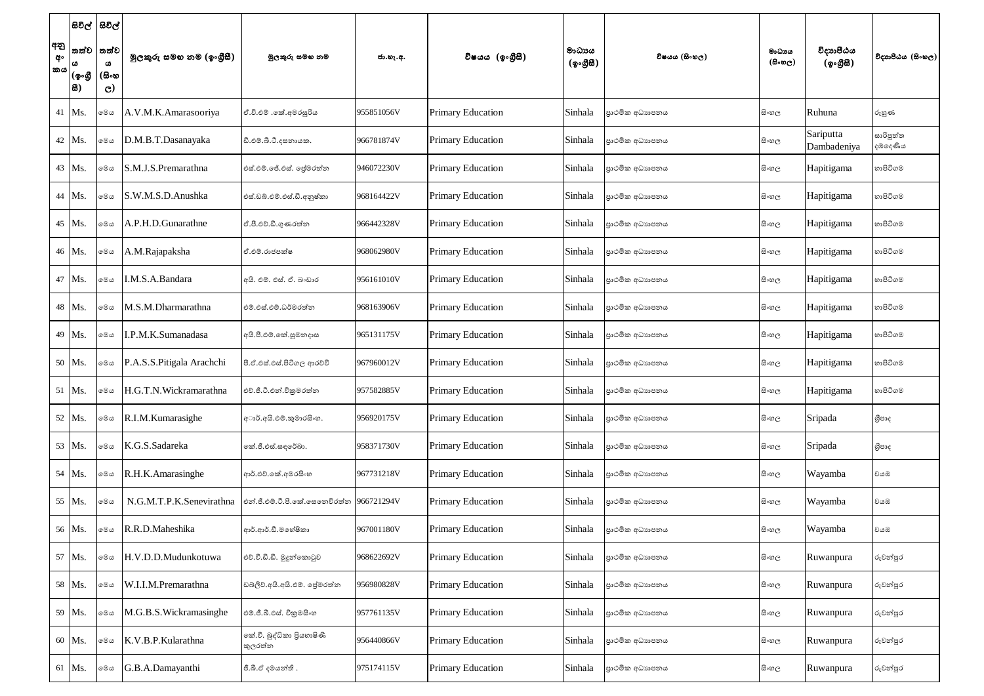| අනු<br>අං<br>කය | තත්ව<br>(ඉංගී<br> සි) | සිවිල්  සිවිල්<br>තත්ව<br>ය<br>(සිංහ<br>$\mathbf{C}$ | මූලකුරු සමහ නම (ඉංගුීසී)  | මූලකුරු සමහ නම                            | ජා.හැ.අ.   | විෂයය (ඉංගීසී)           | මාධායය<br>$({\cal Q} \circ {\cal GB})$ | විෂයය (සිංහල)  | මාධායය<br>$(\theta \circ \omega_C)$ | විදාහපීඨය<br>(ඉංගීසී)    | විදාහපීඨය (සිංහල)    |
|-----------------|-----------------------|------------------------------------------------------|---------------------------|-------------------------------------------|------------|--------------------------|----------------------------------------|----------------|-------------------------------------|--------------------------|----------------------|
| 41              | $Ms$ .                | මෙය                                                  | A.V.M.K.Amarasooriya      | ඒ.වි.එම් .කේ.අමරසූරිය                     | 955851056V | <b>Primary Education</b> | Sinhala                                | පාථමික අධාහපනය | සි∘හල                               | Ruhuna                   | රුහුණ                |
|                 | 42 Ms.                | මෙය                                                  | D.M.B.T.Dasanayaka        | ඩී.එම්.බී.ටී.දසනායක.                      | 966781874V | <b>Primary Education</b> | Sinhala                                | පාථමික අධාහපනය | සි∘හල                               | Sariputta<br>Dambadeniya | සාරිපුත්ත<br>දඹදෙණිය |
|                 | 43 Ms.                | මෙය                                                  | S.M.J.S.Premarathna       | එස්.එම්.ජේ.එස්. ජේමරත්න                   | 946072230V | <b>Primary Education</b> | Sinhala                                | පාථමික අධාහපනය | සි∘හල                               | Hapitigama               | හාපිටිගම             |
|                 | 44 Ms.                | මෙය                                                  | S.W.M.S.D.Anushka         | එස්.ඩබ්.එම්.එස්.ඩී.අනුෂ්කා                | 968164422V | <b>Primary Education</b> | Sinhala                                | පාථමික අධාහපනය | සි∘හල                               | Hapitigama               | හාපිටිගම             |
|                 | 45 Ms.                | මෙය                                                  | A.P.H.D.Gunarathne        | ඒ.පී.එච්.ඩී.ගුණරත්න                       | 966442328V | <b>Primary Education</b> | Sinhala                                | පාථමික අධාහපනය | සි∘හල                               | Hapitigama               | හාපිටිගම             |
|                 | 46 Ms.                | මෙය                                                  | A.M.Rajapaksha            | ඒ.එම්.රාජපක්ෂ                             | 968062980V | <b>Primary Education</b> | Sinhala                                | පාථමික අධාහපනය | සි∘හල                               | Hapitigama               | හාපිටිගම             |
|                 | 47 Ms.                | මෙය                                                  | I.M.S.A.Bandara           | අයි. එම්. එස්. ඒ. බංඩාර                   | 956161010V | <b>Primary Education</b> | Sinhala                                | පාථමික අධාහපනය | සි∘හල                               | Hapitigama               | හාපිටිගම             |
|                 | 48 Ms.                | මෙය                                                  | M.S.M.Dharmarathna        | එම්.එස්.එම්.ධර්මරත්න                      | 968163906V | <b>Primary Education</b> | Sinhala                                | පාථමික අධාහපනය | සි∘හල                               | Hapitigama               | හාපිටිගම             |
|                 | 49   Ms.              | මෙය                                                  | .P.M.K.Sumanadasa         | අයි.පී.එම්.කේ.සුමනදාස                     | 965131175V | <b>Primary Education</b> | Sinhala                                | පාථමික අධාහපනය | සි∘හල                               | Hapitigama               | හාපිටිගම             |
|                 | 50 Ms.                | මෙය                                                  | P.A.S.S.Pitigala Arachchi | පී.ඒ.එස්.එස්.පිටිගල ආරච්චි                | 967960012V | <b>Primary Education</b> | Sinhala                                | පාථමික අධාහපනය | සි∘හල                               | Hapitigama               | හාපිටිගම             |
| 51              | Ms.                   | මෙය                                                  | H.G.T.N.Wickramarathna    | එච්.ජී.ටී.එන්.විකුමරත්න                   | 957582885V | <b>Primary Education</b> | Sinhala                                | පාථමික අධාහපනය | සි∘හල                               | Hapitigama               | හාපිටිගම             |
|                 | 52 Ms.                | මෙය                                                  | R.I.M.Kumarasighe         | අාර්.අයි.එම්.කුමාරසිංහ.                   | 956920175V | <b>Primary Education</b> | Sinhala                                | පාථමික අධාහපනය | සි∘හල                               | Sripada                  | ශීපාද                |
|                 | 53 Ms.                | මෙය                                                  | K.G.S.Sadareka            | කේ.ජී.එස්.සඳරේඛා.                         | 958371730V | <b>Primary Education</b> | Sinhala                                | පාථමික අධාහපනය | සි∘හල                               | Sripada                  | ශීපාද                |
|                 | 54 Ms                 | මෙය                                                  | R.H.K.Amarasinghe         | ආර්.එච්.කේ.අමරසිංහ                        | 967731218V | <b>Primary Education</b> | Sinhala                                | පාථමික අධාහපනය | සි∘හල                               | Wayamba                  | වයඹ                  |
|                 | 55   Ms.              | මෙය                                                  | N.G.M.T.P.K.Senevirathna  | එන්.ජී.එම්.ටී.පී.කේ.සෙනෙවිරත්න 966721294V |            | <b>Primary Education</b> | Sinhala                                | පාථමික අධාහපනය | සි∘හල                               | Wayamba                  | වයඹ                  |
|                 | 56 Ms.                | මෙය                                                  | R.R.D.Maheshika           | ආර්.ආර්.ඩී.මහේෂිකා                        | 967001180V | <b>Primary Education</b> | Sinhala                                | පාථමික අධාහපනය | සි∘හල                               | Wayamba                  | වයඹ                  |
|                 | 57 Ms.                | මෙය                                                  | H.V.D.D.Mudunkotuwa       | එච්.වී.ඩී.ඩී. මූදුන්කොටුව                 | 968622692V | <b>Primary Education</b> | Sinhala                                | පාථමික අධාහපනය | සි∘හල                               | Ruwanpura                | රුවන්පුර             |
|                 | 58 Ms.                | මෙය                                                  | W.I.I.M.Premarathna       | ඩබ්ලිව්.අයි.අයි.එම්. ජේමරත්න              | 956980828V | <b>Primary Education</b> | Sinhala                                | පාථමික අධාහපනය | සි∘හල                               | Ruwanpura                | රුවන්පුර             |
|                 | 59 Ms.                | මෙය                                                  | M.G.B.S. Wickramasinghe   | එම්.ජී.බී.එස්. විකුමසිංහ                  | 957761135V | <b>Primary Education</b> | Sinhala                                | පාථමික අධාහපනය | සි∘හල                               | Ruwanpura                | රුවන්පුර             |
|                 | 60 Ms.                | මෙය                                                  | K.V.B.P.Kularathna        | කේ.වී. බුද්ධිකා පියහාෂිණී<br>කුලරත්න      | 956440866V | <b>Primary Education</b> | Sinhala                                | පාථමික අධාහපනය | සි∘හල                               | Ruwanpura                | රුවන්පුර             |
|                 | 61 Ms.                | මෙය                                                  | G.B.A.Damayanthi          | ජී.බී.ඒ දමයන්ති .                         | 975174115V | <b>Primary Education</b> | Sinhala                                | පාථමික අධාහපනය | සි∘හල                               | Ruwanpura                | රුවන්පුර             |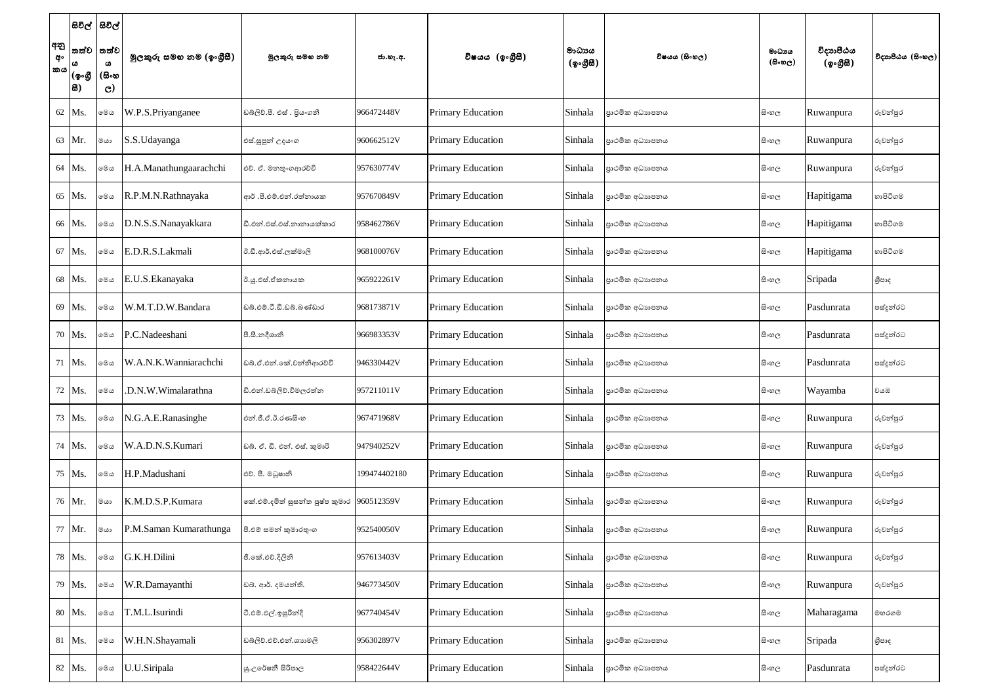| අනු<br>අං<br> කය | (ඉංගී<br> සි) | සිවිල්  සිවිල්<br> තත්ව  තත්ව<br>ω<br>(සිංහ<br>$\mathbf{C}$ | මූලකුරු සමහ නම (ඉංගුීසී) | මූලකුරු සමහ නම                                                 | ජා.හැ.අ.     | විෂයය (ඉංගීසී)           | මාධායය<br>$(\phi \circ \mathcal{B} \mathcal{B})$ | විෂයය (සිංහල)   | මාධායය<br>$(\theta \circ \omega_C)$ | විදාහපීඨය<br>(ඉංගීසී) | විදාහපීඨය (සිංහල) |
|------------------|---------------|-------------------------------------------------------------|--------------------------|----------------------------------------------------------------|--------------|--------------------------|--------------------------------------------------|-----------------|-------------------------------------|-----------------------|-------------------|
|                  | 62 Ms.        | මෙය                                                         | W.P.S.Priyanganee        | ඩබ්ලිව්.පී. එස් . පියංගනී                                      | 966472448V   | <b>Primary Education</b> | Sinhala                                          | පාථමික අධාහපනය  | සි∘හල                               | Ruwanpura             | රුවන්පුර          |
|                  | 63 Mr.        | මයා                                                         | S.S.Udayanga             | එස්.සුපුන් උදයංග                                               | 960662512V   | <b>Primary Education</b> | Sinhala                                          | පාථමික අධාහපනය  | සිංහල                               | Ruwanpura             | රුවන්පුර          |
|                  | 64 Ms.        | මෙය                                                         | H.A.Manathungaarachchi   | එච්. ඒ. මනතුංගආරච්චි                                           | 957630774V   | <b>Primary Education</b> | Sinhala                                          | පාථමික අධාහපනය  | සි∘හල                               | Ruwanpura             | රුවන්පුර          |
|                  | 65 Ms.        | මෙය                                                         | R.P.M.N.Rathnayaka       | ආර් .පී.එම්.එන්.රත්නායක                                        | 957670849V   | <b>Primary Education</b> | Sinhala                                          | පාථමික අධාහපනය  | සි∘හල                               | Hapitigama            | හාපිටිගම          |
|                  | 66 Ms.        | මෙය                                                         | D.N.S.S.Nanayakkara      | ඩී.එන්.එස්.එස්.නානායක්කාර                                      | 958462786V   | <b>Primary Education</b> | Sinhala                                          | පාථමික අධාහපනය  | සි∘හල                               | Hapitigama            | හාපිටිගම          |
|                  | 67 Ms.        | මෙය                                                         | E.D.R.S.Lakmali          | ඊ.ඩී.ආර්.එස්.ලක්මාලි                                           | 968100076V   | <b>Primary Education</b> | Sinhala                                          | පාථමික අධාහපනය  | සි∘හල                               | Hapitigama            | හාපිටිගම          |
|                  | 68 Ms.        | මෙය                                                         | E.U.S. Ekanayaka         | ඊ.ශූ.එස්.ඒකනායක                                                | 965922261V   | <b>Primary Education</b> | Sinhala                                          | පාථමික අධාහපනය  | සි∘හල                               | Sripada               | ශීපාද             |
|                  | 69 Ms.        | මෙය                                                         | W.M.T.D.W.Bandara        | ඩබ්.එම්.ටී.ඩී.ඩබ්.බණ්ඩාර                                       | 968173871V   | <b>Primary Education</b> | Sinhala                                          | පාථමික අධාහපනය  | සි∘හල                               | Pasdunrata            | පස්දුන්රට         |
|                  | 70   Ms.      | මෙය                                                         | P.C.Nadeeshani           | පී.සී.නදීශානි                                                  | 966983353V   | <b>Primary Education</b> | Sinhala                                          | පාථමික අධාහපනය  | සි∘හල                               | Pasdunrata            | පස්දුන්රට         |
|                  | 71   Ms.      | මෙය                                                         | W.A.N.K.Wanniarachchi    | ඩබ්.ඒ.එන්.කේ.වන්නිආරච්චි                                       | 946330442V   | <b>Primary Education</b> | Sinhala                                          | පාථමික අධාහපනය  | සි∘හල                               | Pasdunrata            | පස්දුන්රට         |
|                  | 72 Ms.        | මෙය                                                         | .D.N.W.Wimalarathna      | ඩි.එන්.ඩබ්ලිව්.විමලරත්න                                        | 957211011V   | <b>Primary Education</b> | Sinhala                                          | පාථමික අධාහපනය  | සිංහල                               | Wayamba               | වයඹ               |
|                  | 73   Ms.      | මෙය                                                         | N.G.A.E.Ranasinghe       | එන්.ජී.ඒ.ඊ.රණසිංහ                                              | 967471968V   | <b>Primary Education</b> | Sinhala                                          | පාථමික අධාහපනය  | සිංහල                               | Ruwanpura             | රුවන්පුර          |
|                  | 74 Ms.        | මෙය                                                         | W.A.D.N.S.Kumari         | ඩබ්. ඒ. ඩී. එන්. එස්. කුමාරි                                   | 947940252V   | <b>Primary Education</b> | Sinhala                                          | පාථමික අධාහපනය  | සි∘හල                               | Ruwanpura             | රුවන්පුර          |
|                  | 75 Ms.        | මෙය                                                         | H.P.Madushani            | එච්. පී. මධුෂානි                                               | 199474402180 | <b>Primary Education</b> | Sinhala                                          | පාථමික අධාහපනය  | සි∘හල                               | Ruwanpura             | රුවන්පුර          |
|                  | 76 Mr.        | මයා                                                         | K.M.D.S.P.Kumara         | කේ.එම්.දමිත් සුසන්ත පුෂ්ප කුමාර $\left 960512359\right\rangle$ |              | <b>Primary Education</b> | Sinhala                                          | පාථමික අධාහපනය  | සිංහල                               | Ruwanpura             | රුවන්පුර          |
|                  | 77 Mr.        | මයා                                                         | P.M.Saman Kumarathunga   | පී.එම් සමන් කුමාරතුංග                                          | 952540050V   | <b>Primary Education</b> | Sinhala                                          | පාථමික අධාහපනය  | සිංහල                               | Ruwanpura             | රුවන්පුර          |
|                  | 78 Ms.        | මෙය                                                         | G.K.H.Dilini             | ජී.කේ.එච්.දිලිනි                                               | 957613403V   | <b>Primary Education</b> | Sinhala                                          | පාථමික අධාහපනය  | සිංහල                               | Ruwanpura             | රුවන්පුර          |
|                  | 79 Ms.        | මෙය                                                         | W.R.Damayanthi           | ඩබ්. ආර්. දමයන්ති.                                             | 946773450V   | <b>Primary Education</b> | Sinhala                                          | පුාථමික අධාහපනය | සි∘හල                               | Ruwanpura             | රුවන්පුර          |
|                  | 80 Ms.        | මෙය                                                         | <b>T.M.L.Isurindi</b>    | ටී.එම්.එල්.ඉසුරින්දි                                           | 967740454V   | <b>Primary Education</b> | Sinhala                                          | පාථමික අධාහපනය  | සි∘හල                               | Maharagama            | මහරගම             |
|                  | 81 Ms.        | මෙය                                                         | W.H.N.Shayamali          | ඩබ්ලිව්.එච්.එන්.ශාහමලි                                         | 956302897V   | <b>Primary Education</b> | Sinhala                                          | පාථමික අධාහපනය  | සි∘හල                               | Sripada               | ශීපාද             |
|                  | 82 Ms.        | මෙය                                                         | U.U.Siripala             | ශු.උරේෂනී සිරිපාල                                              | 958422644V   | <b>Primary Education</b> | Sinhala                                          | පුාථමික අධාහපනය | සිංහල                               | Pasdunrata            | පස්දුන්රට         |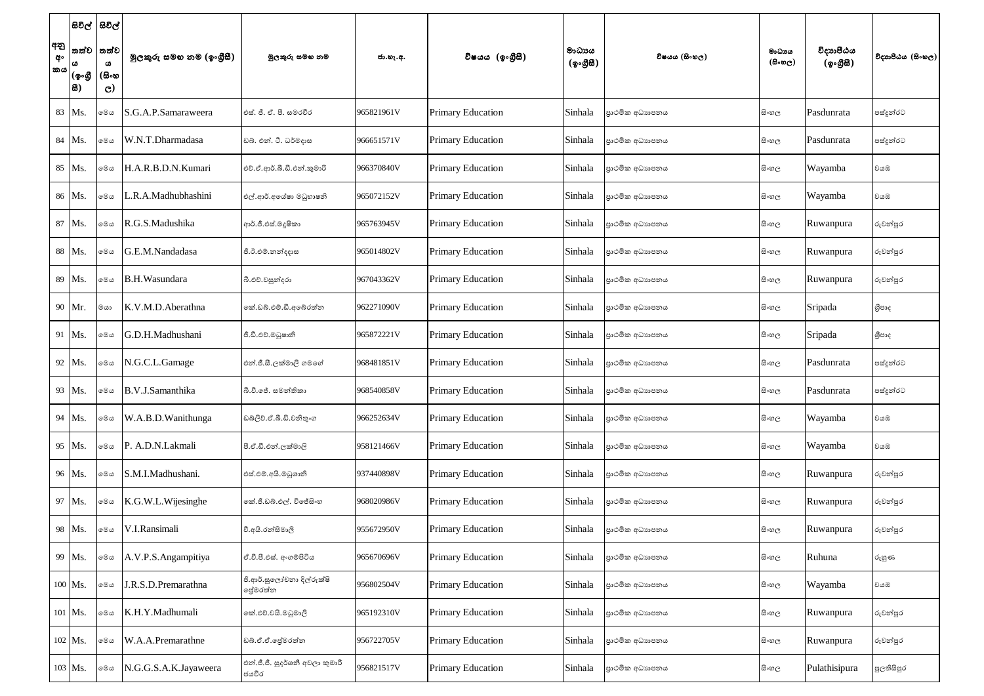|                 |                       | සිවිල්  සිවිල්                      |                          |                                          |            |                          |                                                  |                 |                                    |                       |                   |
|-----------------|-----------------------|-------------------------------------|--------------------------|------------------------------------------|------------|--------------------------|--------------------------------------------------|-----------------|------------------------------------|-----------------------|-------------------|
| අනු<br>අං<br>කය | තත්ව<br>(ඉංගී<br> සි) | තත්ව<br>ය<br>(සිංහ<br>$\mathcal{O}$ | මූලකුරු සමහ නම (ඉංගුීසී) | මූලකුරු සමභ නම                           | ජා.හැ.අ.   | විෂයය (ඉංගීසී)           | මාධායය<br>$(\phi \circ \mathcal{B} \mathcal{B})$ | විෂයය (සිංහල)   | මාධාය<br>$(\theta \circ \omega_C)$ | විදාහපීඨය<br>(ඉංගීසී) | විදාහපීඨය (සිංහල) |
|                 | 83 Ms.                | මෙය                                 | S.G.A.P.Samaraweera      | එස්. ජී. ඒ. පී. සමරවීර                   | 965821961V | <b>Primary Education</b> | Sinhala                                          | පාථමික අධාහපනය  | සිංහල                              | Pasdunrata            | පස්දුන්රට         |
|                 | 84 Ms.                | මෙය                                 | W.N.T.Dharmadasa         | ඩබ්. එන්. ටී. ධර්මදාස                    | 966651571V | <b>Primary Education</b> | Sinhala                                          | පාථමික අධාහපනය  | සි∘හල                              | Pasdunrata            | පස්දුන්රට         |
|                 | 85 Ms.                | මෙය                                 | H.A.R.B.D.N.Kumari       | එච්.ඒ.ආර්.බී.ඩී.එන්.කුමාරි               | 966370840V | <b>Primary Education</b> | Sinhala                                          | පාථමික අධාහපනය  | සි∘හල                              | Wayamba               | වයඹ               |
|                 | 86   Ms.              | මෙය                                 | .R.A.Madhubhashini       | එල්.ආර්.අයේෂා මධුහාෂනි                   | 965072152V | <b>Primary Education</b> | Sinhala                                          | පුාථමික අධාහපනය | සි∘හල                              | Wayamba               | වයඹ               |
|                 | 87 Ms.                | මෙය                                 | R.G.S.Madushika          | ආර්.ජී.එස්.මදූෂිකා                       | 965763945V | <b>Primary Education</b> | Sinhala                                          | පාථමික අධාහපනය  | සි∘හල                              | Ruwanpura             | රුවන්පුර          |
|                 | 88 Ms.                | මෙය                                 | G.E.M.Nandadasa          | ජී.ඊ.එම්.නන්දදාස                         | 965014802V | <b>Primary Education</b> | Sinhala                                          | පාථමික අධාහපනය  | සි∘හල                              | Ruwanpura             | රුවන්පුර          |
|                 | 89 Ms.                | මෙය                                 | <b>B.H.Wasundara</b>     | බී.එච්.වසුන්දරා                          | 967043362V | <b>Primary Education</b> | Sinhala                                          | පාථමික අධාහපනය  | සි∘හල                              | Ruwanpura             | රුවන්පුර          |
|                 | 90 Mr.                | මයා                                 | K.V.M.D.Aberathna        | කේ.ඩබ්.එම්.ඩී.අබේරත්න                    | 962271090V | <b>Primary Education</b> | Sinhala                                          | පාථමික අධාහපනය  | සි∘හල                              | Sripada               | ශීපාද             |
|                 | 91   $Ms$ .           | මෙය                                 | G.D.H.Madhushani         | ජී.ඩී.එච්.මධුෂානි                        | 965872221V | <b>Primary Education</b> | Sinhala                                          | පාථමික අධාහපනය  | සි∘හල                              | Sripada               | ශීපාද             |
|                 | 92 Ms.                | මෙය                                 | N.G.C.L.Gamage           | එන්.ජී.සී.ලක්මාලි ගමගේ                   | 968481851V | <b>Primary Education</b> | Sinhala                                          | පාථමික අධාහපනය  | සි∘හල                              | Pasdunrata            | පස්දුන්රට         |
|                 | 93 Ms.                | මෙය                                 | B.V.J.Samanthika         | බී.වී.ජේ. සමන්තිකා                       | 968540858V | <b>Primary Education</b> | Sinhala                                          | පාථමික අධාහපනය  | සි∘හල                              | Pasdunrata            | පස්දුන්රට         |
|                 | 94 Ms.                | මෙය                                 | W.A.B.D.Wanithunga       | ඩබලිව්.ඒ.බී.ඩී.වනිතුංග                   | 966252634V | <b>Primary Education</b> | Sinhala                                          | පාථමික අධාහපනය  | සි∘හල                              | Wayamba               | වයඹ               |
|                 | 95 Ms.                | මෙය                                 | P. A.D.N.Lakmali         | පී.ඒ.ඩී.එන්.ලක්මාලි                      | 958121466V | <b>Primary Education</b> | Sinhala                                          | පාථමික අධාහපනය  | සි∘හල                              | Wayamba               | වයඹ               |
|                 | 96 Ms.                | මෙය                                 | S.M.I.Madhushani.        | එස්.එම්.අයි.මධුශානි                      | 937440898V | <b>Primary Education</b> | Sinhala                                          | පාථමික අධාහපනය  | සි∘හල                              | Ruwanpura             | රුවන්පුර          |
|                 | 97 Ms.                | මෙය                                 | K.G.W.L.Wijesinghe       | කේ.ජී.ඩබ්.එල්. විජේසිංහ                  | 968020986V | <b>Primary Education</b> | Sinhala                                          | පාථමික අධාහපනය  | සි∘හල                              | Ruwanpura             | රුවන්පුර          |
|                 | 98 Ms.                | මෙය                                 | V.I.Ransimali            | වී.අයි.රත්සිමාලි                         | 955672950V | <b>Primary Education</b> | Sinhala                                          | පාථමික අධාහපනය  | සිංහල                              | Ruwanpura             | රුවන්පුර          |
|                 | 99 Ms.                | මෙය                                 | A.V.P.S. Angampitiya     | ඒ.වී.පී.එස්. අංගම්පිටිය                  | 965670696V | <b>Primary Education</b> | Sinhala                                          | පාථමික අධාහපනය  | සිංහල                              | Ruhuna                | රුහුණ             |
|                 | 100 Ms.               | මෙය                                 | J.R.S.D.Premarathna      | ජි.ආර්.සුලෝචනා දිල්රුක්ෂි<br>ජේමරත්න     | 956802504V | <b>Primary Education</b> | Sinhala                                          | පුාථමික අධාහපනය | සි∘හල                              | Wayamba               | වයඹ               |
|                 | 101 Ms.               | මෙය                                 | K.H.Y.Madhumali          | කේ.එච්.වයි.මධුමාලි                       | 965192310V | <b>Primary Education</b> | Sinhala                                          | පාථමික අධාහපනය  | සි∘හල                              | Ruwanpura             | රුවන්පුර          |
|                 | 102 Ms.               | මෙය                                 | W.A.A.Premarathne        | ඩබ්.ඒ.ඒ.දේමරත්න                          | 956722705V | <b>Primary Education</b> | Sinhala                                          | පාථමික අධාහපනය  | සි∘හල                              | Ruwanpura             | රුවන්පුර          |
|                 | 103   Ms.             | මෙය                                 | N.G.G.S.A.K.Jayaweera    | එන්.ජී.ජී. සුදර්ශනී අවලා කුමාරී<br>ජයවීර | 956821517V | <b>Primary Education</b> | Sinhala                                          | පුාථමික අධාහපනය | සි∘හල                              | Pulathisipura         | පුලතිසිපුර        |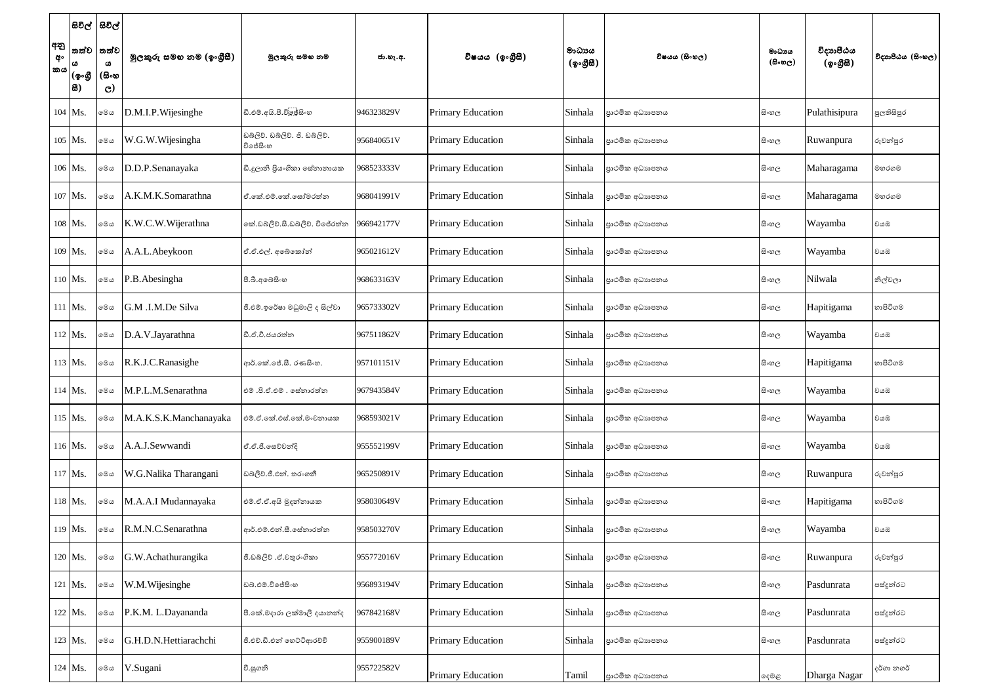| අනු<br>අං<br> කය | (ඉංගී<br> සි) | සිවිල්  සිවිල්<br>තත්ව  තත්ව<br>ω<br>(සිංහ<br>$\mathbf{C}$ | මූලකුරු සමහ නම (ඉංගුීසී) | මූලකුරු සමහ නම                       | ජා.හැ.අ.   | විෂයය (ඉංගීසී)           | මාධායය<br>$(\phi \circ \mathcal{B} \mathcal{B})$ | විෂයය (සිංහල)   | මාධායය<br>$(\theta \circ \omega_C)$ | විදාහපීඨය<br>(ඉංගීසී) | විදාහපීඨය (සිංහල) |
|------------------|---------------|------------------------------------------------------------|--------------------------|--------------------------------------|------------|--------------------------|--------------------------------------------------|-----------------|-------------------------------------|-----------------------|-------------------|
|                  | 104 Ms.       | මෙය                                                        | D.M.I.P.Wijesinghe       | ඩී.එම්.අයි.පී.විලූජ්සිංහ             | 946323829V | <b>Primary Education</b> | Sinhala                                          | පාථමික අධාහපනය  | සි∘හල                               | Pulathisipura         | පුලතිසිපුර        |
|                  | 105 Ms.       | මෙය                                                        | W.G.W.Wijesingha         | ඩබලිව. ඩබලිව. ජි. ඩබලිව.<br>විජේසිංහ | 956840651V | <b>Primary Education</b> | Sinhala                                          | පාථමික අධාහපනය  | සිංහල                               | Ruwanpura             | රුවන්පුර          |
|                  | 106 Ms.       | මෙය                                                        | D.D.P.Senanayaka         | ඩී.දූලානි පියංගිකා සේනානායක          | 968523333V | <b>Primary Education</b> | Sinhala                                          | පාථමික අධාහපනය  | සි∘හල                               | Maharagama            | මහරගම             |
|                  | 107 Ms.       | මෙය                                                        | A.K.M.K.Somarathna       | ඒ.කේ.එම්.කේ.සෝමරත්න                  | 968041991V | <b>Primary Education</b> | Sinhala                                          | පාථමික අධාහපනය  | සි∘හල                               | Maharagama            | මහරගම             |
|                  | 108 Ms.       | මෙය                                                        | K.W.C.W.Wijerathna       | කේ.ඩබ්ලිව්.සි.ඩබ්ලිව්. විජේරත්න      | 966942177V | <b>Primary Education</b> | Sinhala                                          | පාථමික අධාහපනය  | සි∘හල                               | Wayamba               | වයඹ               |
|                  | 109 Ms.       | මෙය                                                        | A.A.L.Abeykoon           | ඒ.ඒ.එල්. අබේකෝන්                     | 965021612V | <b>Primary Education</b> | Sinhala                                          | පාථමික අධාහපනය  | සි∘හල                               | Wayamba               | වයඹ               |
|                  | $110$ Ms.     | මෙය                                                        | P.B. Abesingha           | පී.බී.අබේසිංහ                        | 968633163V | <b>Primary Education</b> | Sinhala                                          | පාථමික අධාහපනය  | සි∘හල                               | Nilwala               | නිල්වලා           |
|                  | 111 Ms.       | මෙල                                                        | G.M .I.M.De Silva        | ජී.එම්.ඉරේෂා මධුමාලි ද සිල්වා        | 965733302V | <b>Primary Education</b> | Sinhala                                          | පාථමික අධාහපනය  | සි∘හල                               | Hapitigama            | හාපිටිගම          |
|                  | $112$ Ms.     | මෙය                                                        | D.A.V.Jayarathna         | ඩී.ඒ.වී.ජයරත්ත                       | 967511862V | <b>Primary Education</b> | Sinhala                                          | පාථමික අධාහපනය  | සි∘හල                               | Wayamba               | වයඹ               |
|                  | $113$ Ms.     | මෙය                                                        | R.K.J.C.Ranasighe        | ආර්.කේ.ජේ.සී. රණසිංහ.                | 957101151V | <b>Primary Education</b> | Sinhala                                          | පාථමික අධාහපනය  | සි∘හල                               | Hapitigama            | හාපිටිගම          |
|                  | $114$ Ms.     | මෙය                                                        | M.P.L.M.Senarathna       | එම් .පි.ඒ.එම් . සේනාරත්න             | 967943584V | <b>Primary Education</b> | Sinhala                                          | පාථමික අධාහපනය  | සිංහල                               | Wayamba               | වයඹ               |
|                  | 115 Ms.       | මෙය                                                        | M.A.K.S.K.Manchanayaka   | එම්.ඒ.කේ.එස්.කේ.මංචනායක              | 968593021V | <b>Primary Education</b> | Sinhala                                          | පාථමික අධාහපනය  | සි∘හල                               | Wayamba               | වයඹ               |
|                  | 116 Ms.       | මෙය                                                        | A.A.J.Sewwandi           | ඒ.ඒ.ජී.සෙව්වන්දි                     | 955552199V | <b>Primary Education</b> | Sinhala                                          | පාථමික අධාහපනය  | සි∘හල                               | Wayamba               | වයඹ               |
|                  | $117$ Ms.     | මෙය                                                        | W.G.Nalika Tharangani    | ඩබ්ලිව්.ජී.එන්. තරංගනී               | 965250891V | <b>Primary Education</b> | Sinhala                                          | පාථමික අධාහපනය  | සි∘හල                               | Ruwanpura             | රුවන්පුර          |
|                  | 118 Ms.       | මෙය                                                        | M.A.A.I Mudannayaka      | එම්.ඒ.ඒ.අයි මුදන්නායක                | 958030649V | <b>Primary Education</b> | Sinhala                                          | පාථමික අධාහපනය  | සි∘හල                               | Hapitigama            | හාපිටිගම          |
|                  | 119 Ms.       | මෙය                                                        | R.M.N.C.Senarathna       | ආර්.එම්.එන්.සී.සේනාරත්න              | 958503270V | <b>Primary Education</b> | Sinhala                                          | පාථමික අධාහපනය  | සිංහල                               | Wayamba               | වයඹ               |
|                  | $120$ Ms.     | මෙය                                                        | G.W.Achathurangika       | ජී.ඩබ්ලිව් .ඒ.චතුරංගිකා              | 955772016V | <b>Primary Education</b> | Sinhala                                          | පාථමික අධාහපනය  | සිංහල                               | Ruwanpura             | රුවන්පුර          |
|                  | 121 Ms.       | මෙය                                                        | W.M.Wijesinghe           | ඩබ්.එම්.විජේසිංහ                     | 956893194V | <b>Primary Education</b> | Sinhala                                          | පුාථමික අධාහපනය | සි∘හල                               | Pasdunrata            | පස්දුන්රට         |
|                  | 122 Ms.       | මෙය                                                        | P.K.M. L.Dayananda       | පී.කේ.මදාරා ලක්මාලි දයානන්ද          | 967842168V | <b>Primary Education</b> | Sinhala                                          | පාථමික අධාහපනය  | සි∘හල                               | Pasdunrata            | පස්දුන්රට         |
|                  | 123 Ms.       | මෙය                                                        | G.H.D.N.Hettiarachchi    | ජී.එච්.ඩී.එන් හෙට්ටිආරච්චි           | 955900189V | <b>Primary Education</b> | Sinhala                                          | පාථමික අධාහපනය  | සි∘හල                               | Pasdunrata            | පස්දුන්රට         |
|                  | $124$ Ms.     | මෙය                                                        | V.Sugani                 | වී.සුගනි                             | 955722582V | <b>Primary Education</b> | Tamil                                            | පාථමික අධාහපනය  | දෙමළ                                | Dharga Nagar          | දර්ගා නගර්        |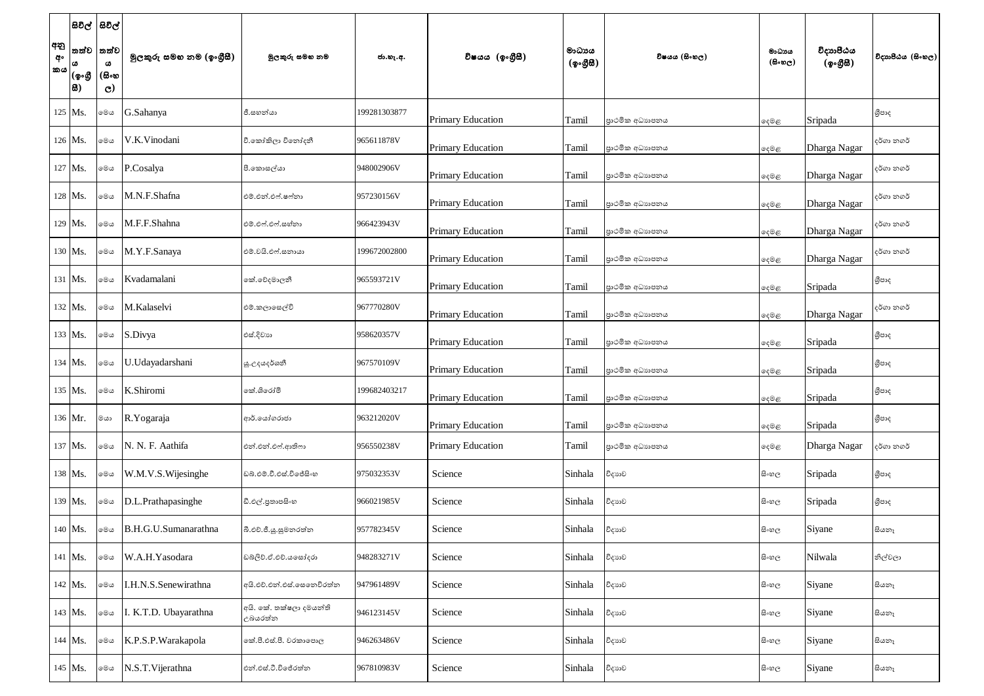|                 | සිවිල්  සිවිල්        |                                    |                          |                                    |              |                          |                                                    |                 |                                    |                       |                   |
|-----------------|-----------------------|------------------------------------|--------------------------|------------------------------------|--------------|--------------------------|----------------------------------------------------|-----------------|------------------------------------|-----------------------|-------------------|
| අනු<br>අං<br>කය | තත්ව<br> (စွ•൫<br> 8) | තත්ව<br>ω<br>(සිංහ<br>$\mathbf{C}$ | මුලකුරු සමහ නම (ඉංගුීසී) | මුලකුරු සමහ නම                     | ජා.හැ.අ.     | විෂයය (ඉංගීුසී)          | මාධායය<br>$({\cal Q} \circ \mathcal{B} \boxtimes)$ | විෂයය (සිංහල)   | මාධාය<br>$(\theta \circ \omega_C)$ | විදාහපීඨය<br>(ඉංගීසී) | විදාහපීඨය (සිංහල) |
|                 | $125$ Ms.             | මෙය                                | G.Sahanya                | ජී.සහන්යා                          | 199281303877 | <b>Primary Education</b> | Tamil                                              | පාථමික අධාහපනය  | ඈමළ                                | Sripada               | ශීපාද             |
|                 | $126$ Ms.             | මෙය                                | V.K.Vinodani             | වී.කෝකිලා විනෝදනී                  | 965611878V   | <b>Primary Education</b> | Tamil                                              | පාථමික අධාහපනය  | දෙමළ                               | Dharga Nagar          | දර්ගා නගර්        |
|                 | 127 Ms.               | මෙය                                | P.Cosalya                | පී.කොසල්යා                         | 948002906V   | <b>Primary Education</b> | Tamil                                              | පාථමික අධාහපනය  | දෙමළ                               | Dharga Nagar          | දර්ගා නගර්        |
|                 | 128 Ms.               | මෙය                                | M.N.F.Shafna             | එම්.එන්.එෆ්.ෂෆ්නා                  | 957230156V   | <b>Primary Education</b> | Tamil                                              | පාථමික අධාහපනය  | දෙමළ                               | Dharga Nagar          | දර්ගා නගර්        |
|                 | 129 Ms.               | මෙය                                | M.F.F.Shahna             | එම්.එෆ්.එෆ්.සහ්නා                  | 966423943V   | <b>Primary Education</b> | Tamil                                              | පාථමික අධාහපනය  | දෙමළ                               | Dharga Nagar          | දර්ගා නගර්        |
|                 | 130 Ms.               | මෙය                                | M.Y.F.Sanaya             | එම්.වයි.එෆ්.සනායා                  | 199672002800 | <b>Primary Education</b> | Tamil                                              | පාථමික අධාහපනය  | දෙමළ                               | Dharga Nagar          | දර්ගා නගර්        |
|                 | 131 Ms.               | මෙය                                | Kvadamalani              | කේ.වේදමාලනී                        | 965593721V   | <b>Primary Education</b> | Tamil                                              | පාථමික අධාහපනය  | දෙමළ                               | Sripada               | ශීපාද             |
|                 | $132$ Ms.             | මෙය                                | M.Kalaselvi              | එම්.කලාසෙල්වි                      | 967770280V   | <b>Primary Education</b> | Tamil                                              | පාථමික අධාහපනය  | දෙමළ                               | Dharga Nagar          | දර්ගා නගර්        |
|                 | $133$ Ms.             | මෙය                                | S.Divya                  | එස්.දිවාහ                          | 958620357V   | <b>Primary Education</b> | Tamil                                              | පාථමික අධාහපනය  | ඈමළ                                | Sripada               | ශීපාද             |
|                 | $134$ Ms.             | මෙය                                | U.Udayadarshani          | යූ.උදයදර්ශනී                       | 967570109V   | <b>Primary Education</b> | Tamil                                              | පුාථමික අධාහපනය | දෙමළ                               | Sripada               | ශීපාද             |
|                 | 135 Ms.               | මෙය                                | K.Shiromi                | කේ.ශිරෝමි                          | 199682403217 | <b>Primary Education</b> | Tamil                                              | පාථමික අධාහපනය  | දෙමළ                               | Sripada               | ශීපාද             |
|                 | 136 Mr.               | ගය                                 | R.Yogaraja               | ආර්.ගෝගරාජා                        | 963212020V   | <b>Primary Education</b> | Tamil                                              | පාථමික අධාහපනය  | දෙමළ                               | Sripada               | ශීපාද             |
|                 | 137 Ms.               | මෙය                                | N. N. F. Aathifa         | එන්.එන්.එෆ්.ආතිෆා                  | 956550238V   | <b>Primary Education</b> | Tamil                                              | පාථමික අධාහපනය  | දෙමළ                               | Dharga Nagar          | දර්ගා නගර්        |
|                 | 138 Ms.               | මෙය                                | W.M.V.S. Wijesinghe      | ඩබ්.එම්.වී.එස්.විජේසිංහ            | 975032353V   | Science                  | Sinhala                                            | විදාහව          | සි∘හල                              | Sripada               | ශීපාද             |
|                 | 139 Ms.               | මෙය                                | D.L.Prathapasinghe       | ඩී.එල්.පුතාපසිංහ                   | 966021985V   | Science                  | Sinhala                                            | විදාහව          | සි∘හල                              | Sripada               | ශීපාද             |
|                 | 140 Ms.               | මෙය                                | B.H.G.U.Sumanarathna     | බී.එච්.ජී.ශූ.සුමනරත්න              | 957782345V   | Science                  | Sinhala                                            | විදාහව          | සි∘හල                              | Siyane                | සියනෑ             |
|                 | 141 Ms.               | මෙය                                | W.A.H.Yasodara           | ඩබ්ලිව්.ඒ.එච්.යසෝදරා               | 948283271V   | Science                  | Sinhala                                            | විදාහව          | සි∘හල                              | Nilwala               | නිල්වලා           |
|                 | 142 Ms.               | මෙය                                | I.H.N.S.Senewirathna     | අයි.එච්.එන්.එස්.සෙනෙවිරත්න         | 947961489V   | Science                  | Sinhala                                            | විදාහව          | සි∘හල                              | Siyane                | සියනෑ             |
|                 | 143 Ms.               | මෙය                                | K.T.D. Ubayarathna       | අයි. කේ. තක්ෂලා දමයන්ති<br>උබයරත්න | 946123145V   | Science                  | Sinhala                                            | විදාහව          | සි∘හල                              | Siyane                | සියතෑ             |
|                 | 144 Ms.               | මෙය                                | K.P.S.P. Warakapola      | නේ.පී.එස්.පී. වරකාපොල              | 946263486V   | Science                  | Sinhala                                            | විදාහව          | සි∘හල                              | Siyane                | සියතෑ             |
|                 | 145 Ms.               | මෙය                                | N.S.T. Vijerathna        | එන්.එස්.ටී.විජේරත්න                | 967810983V   | Science                  | Sinhala                                            | විදාහව          | සි∘හල                              | Siyane                | සියනෑ             |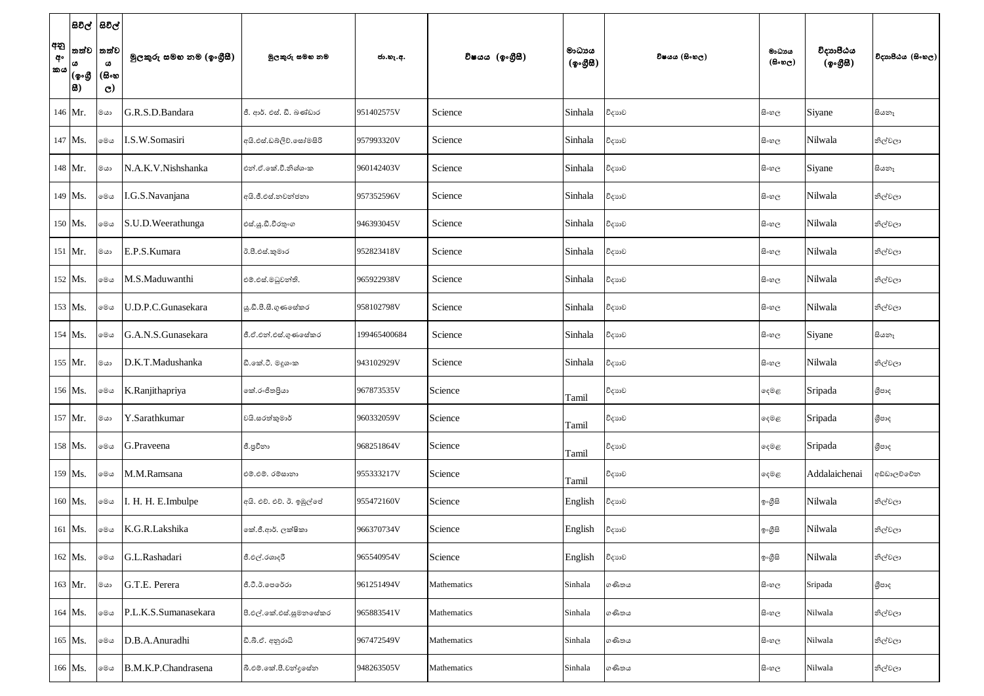| අනු<br>අං<br>කය | සිවිල්  සිවිල්<br>තත්ව<br> (ඉංගී<br> 8) | තත්ව<br>ω<br>(සිංහ<br>$\mathbf{C}$ | මුලකුරු සමහ නම (ඉංගුිසී) | මූලකුරු සමහ නම            | ජා.හැ.අ.     | විෂයය (ඉංගීසී) | මාධායය<br>$(\phi \circ \mathcal{B} \mathcal{B})$ | විෂයය (සිංහල) | මාධාය<br>(සිංහල) | විදාහපීඨය<br>(ඉංගීසී) | විදාහපීඨය (සිංහල) |
|-----------------|-----------------------------------------|------------------------------------|--------------------------|---------------------------|--------------|----------------|--------------------------------------------------|---------------|------------------|-----------------------|-------------------|
|                 | 146 Mr.                                 | ගය                                 | G.R.S.D.Bandara          | ජී. ආර්. එස්. ඩී. බණ්ඩාර  | 951402575V   | Science        | Sinhala                                          | විදාහව        | සිංහල            | Siyane                | සියනෑ             |
|                 | 147 Ms.                                 | මෙය                                | I.S.W.Somasiri           | අයි.එස්.ඩබ්ලිව්.සෝමසිරි   | 957993320V   | Science        | Sinhala                                          | විදාහව        | සි∘හල            | Nilwala               | නිල්වලා           |
|                 | 148 Mr.                                 | මයා                                | N.A.K.V.Nishshanka       | එන්.ඒ.කේ.වී.නිශ්ශංක       | 960142403V   | Science        | Sinhala                                          | විදාහව        | සි∘හල            | Siyane                | සියනෑ             |
|                 | 149 Ms.                                 | මෙය                                | I.G.S.Navanjana          | අයි.ජී.එස්.නවන්ජනා        | 957352596V   | Science        | Sinhala                                          | විදාහව        | සි∘හල            | Nilwala               | නිල්වලා           |
|                 | 150 Ms.                                 | මෙය                                | S.U.D.Weerathunga        | එස්.යූ.ඩී.වීරතුංග         | 946393045V   | Science        | Sinhala                                          | විදාහව        | සි∘හල            | Nilwala               | නිල්වලා           |
|                 | $151$ Mr.                               | මයා                                | E.P.S.Kumara             | ඊ.පී.එස්.කුමාර            | 952823418V   | Science        | Sinhala                                          | විදාහව        | සි∘හල            | Nilwala               | නිල්වලා           |
|                 | 152 Ms.                                 | මෙය                                | M.S.Maduwanthi           | එම්.එස්.මධුවන්ති.         | 965922938V   | Science        | Sinhala                                          | විදාහව        | සි∘හල            | Nilwala               | නිල්වලා           |
|                 | 153 Ms.                                 | මෙය                                | U.D.P.C.Gunasekara       | ශු.ඩී.පී.සී.ගුණසේකර       | 958102798V   | Science        | Sinhala                                          | විදාහව        | සි∘හල            | Nilwala               | නිල්වලා           |
|                 | $154$ Ms.                               | මෙය                                | G.A.N.S.Gunasekara       | ජී.ඒ.එන්.එස්.ගුණසේකර      | 199465400684 | Science        | Sinhala                                          | විදාහව        | සි∘හල            | Siyane                | සියනෑ             |
|                 | 155 Mr.                                 | මයා                                | D.K.T.Madushanka         | ඩී.කේ.ටී. මදුශංක          | 943102929V   | Science        | Sinhala                                          | විදාහව        | සි∘හල            | Nilwala               | නිල්වලා           |
|                 | 156 Ms.                                 | මෙය                                | K.Ranjithapriya          | නේ.රංජිතපියා              | 967873535V   | Science        | Tamil                                            | විදාහව        | දෙමළ             | Sripada               | ශීපාද             |
|                 | 157 Mr.                                 | ගය                                 | Y.Sarathkumar            | වයි.සරත්කුමාර්            | 960332059V   | Science        | Tamil                                            | විදාහව        | දෙමළ             | Sripada               | ශීපාද             |
|                 | 158 Ms.                                 | මෙය                                | G.Praveena               | ජී.පුවීනා                 | 968251864V   | Science        | Tamil                                            | විදාහව        | දෙමළ             | Sripada               | ශීපාද             |
|                 | 159 Ms.                                 | මෙය                                | M.M.Ramsana              | එම්.එම්. රම්සානා          | 955333217V   | Science        | Tamil                                            | විදාහව        | දෙමළ             | Addalaichenai         | අඩ්ඩාලච්චේන       |
|                 | 160 Ms.                                 | මෙය                                | I. H. H. E.Imbulpe       | අයි. එච්. එච්. ඊ. ඉඹුල්පේ | 955472160V   | Science        | English                                          | විදාහව        | ඉංගීසි           | Nilwala               | නිල්වලා           |
|                 | 161 Ms.                                 | මෙය                                | K.G.R.Lakshika           | කේ.ජී.ආර්. ලක්ෂිකා        | 966370734V   | Science        | English                                          | විදාහව        | ඉංගීසි           | Nilwala               | නිල්වලා           |
|                 | 162 Ms.                                 | මෙය                                | G.L.Rashadari            | ජී.එල්.රශාදරී             | 965540954V   | Science        | English                                          | විදාහව        | ඉංගීසි           | Nilwala               | නිල්වලා           |
|                 | 163 Mr.                                 | ගය                                 | G.T.E. Perera            | ජී.ටී.ඊ.පෙරේරා            | 961251494V   | Mathematics    | Sinhala                                          | ගණිතය         | සි∘හල            | Sripada               | ශීපාද             |
|                 | 164 Ms.                                 | මෙය                                | P.L.K.S.Sumanasekara     | පී.එල්.කේ.එස්.සුමනසේකර    | 965883541V   | Mathematics    | Sinhala                                          | ගණිතය         | සි∘හල            | Nilwala               | නිල්වලා           |
|                 | 165 Ms.                                 | මෙය                                | D.B.A.Anuradhi           | ඩී.බී.ඒ. අනුරාධි          | 967472549V   | Mathematics    | Sinhala                                          | ගණිතය         | සි∘හල            | Nilwala               | නිල්වලා           |
|                 | 166 Ms.                                 | මෙය                                | B.M.K.P.Chandrasena      | බී.එම්.කේ.පී.චන්දුසේන     | 948263505V   | Mathematics    | Sinhala                                          | ගණිතය         | සි∘හල            | Nilwala               | නිල්වලා           |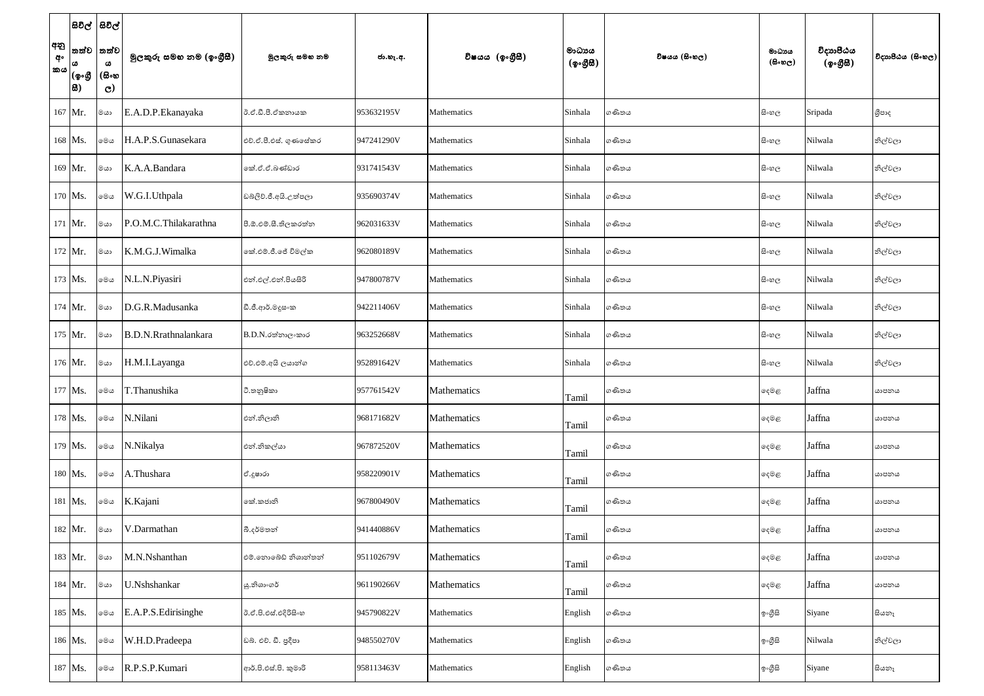| අනු<br>අං<br>කය | සිවිල්  සිවිල්<br>තත්ව<br>ය<br> (ඉංගී<br> 8) | තත්ව<br>$\pmb{\omega}$<br>(සිංහ<br>$\mathbf{C}$ | මුලකුරු සමහ නම (ඉංගුීසී) | මූලකුරු සමහ නම        | ජා.හැ.අ.   | විෂයය (ඉංගීසී) | මාධායය<br>$(\phi \circ \mathcal{B} \mathcal{B})$ | විෂයය (සිංහල) | මාධාය<br>(සිංහල) | විදාහපීඨය<br>(ඉංගීසී) | විදාහපීඨය (සිංහල) |
|-----------------|----------------------------------------------|-------------------------------------------------|--------------------------|-----------------------|------------|----------------|--------------------------------------------------|---------------|------------------|-----------------------|-------------------|
|                 | 167 Mr.                                      | මයා                                             | E.A.D.P.Ekanayaka        | රී.ඒ.ඩී.පී.ඒකනායක     | 953632195V | Mathematics    | Sinhala                                          | ගණිතය         | සි∘හල            | Sripada               | ශීපාද             |
|                 | 168 Ms.                                      | මෙය                                             | H.A.P.S.Gunasekara       | එච්.ඒ.පී.එස්. ගුණසේකර | 947241290V | Mathematics    | Sinhala                                          | ගණිතය         | සි∘හල            | Nilwala               | නිල්වලා           |
|                 | 169 Mr.                                      | ගය                                              | K.A.A.Bandara            | නේ.ඒ.ඒ.බණ්ඩාර         | 931741543V | Mathematics    | Sinhala                                          | ගණිතය         | සි∘හල            | Nilwala               | නිල්වලා           |
|                 | 170 Ms.                                      | මෙය                                             | W.G.I.Uthpala            | ඩබ්ලිව්.ජී.අයි.උත්පලා | 935690374V | Mathematics    | Sinhala                                          | ගණිතය         | සි∘හල            | Nilwala               | නිල්වලා           |
|                 | 171 Mr.                                      | මයා                                             | P.O.M.C.Thilakarathna    | පී.ඕ.එම්.සී.තිලකරත්න  | 962031633V | Mathematics    | Sinhala                                          | ගණිතය         | සි∘හල            | Nilwala               | නිල්වලා           |
|                 | 172 Mr.                                      | ගය                                              | K.M.G.J.Wimalka          | කේ.එම්.ජී.ජේ විමල්ක   | 962080189V | Mathematics    | Sinhala                                          | ගණිතය         | සි∘හල            | Nilwala               | නිල්වලා           |
|                 | 173 Ms.                                      | මෙය                                             | N.L.N.Piyasiri           | එන්.එල්.එන්.පියසිරි   | 947800787V | Mathematics    | Sinhala                                          | ගණිතය         | සි∘හල            | Nilwala               | නිල්වලා           |
|                 | $174$ Mr.                                    | ගය                                              | D.G.R.Madusanka          | ඩී.ජී.ආර්.මදූසංක      | 942211406V | Mathematics    | Sinhala                                          | ගණිතය         | සි∘හල            | Nilwala               | නිල්වලා           |
|                 | 175 Mr.                                      | මයා                                             | B.D.N.Rrathnalankara     | $B.D.N.$ රත්නාලංකාර   | 963252668V | Mathematics    | Sinhala                                          | ගණිතය         | සි∘හල            | Nilwala               | නිල්වලා           |
|                 | 176 Mr.                                      | මයා                                             | H.M.I.Layanga            | එච්.එම්.අයි ලයාන්ග    | 952891642V | Mathematics    | Sinhala                                          | ගණිතය         | සි∘හල            | Nilwala               | නිල්වලා           |
|                 | 177 Ms.                                      | මෙය                                             | T.Thanushika             | ටී.තනුෂිකා            | 957761542V | Mathematics    | Tamil                                            | ගණිතය         | දෙමළ             | Jaffna                | යාපනය             |
|                 | 178 Ms.                                      | මෙය                                             | N.Nilani                 | එන්.නිලානි            | 968171682V | Mathematics    | Tamil                                            | ගණිතය         | ඈමළ              | Jaffna                | යාපනය             |
|                 | 179 Ms.                                      | මෙය                                             | N.Nikalya                | එන්.නිකල්යා           | 967872520V | Mathematics    | Tamil                                            | ගණිතය         | දෙමළ             | Jaffna                | යාපනය             |
|                 | 180 Ms.                                      | මෙය                                             | A.Thushara               | ඒ.දුෂාරා              | 958220901V | Mathematics    | Tamil                                            | ගණිතය         | දෙමළ             | Jaffna                | යාපනය             |
|                 | 181 Ms.                                      | මෙය                                             | K.Kajani                 | කේ.කජානි              | 967800490V | Mathematics    | Tamil                                            | ගණිතය         | දෙමළ             | Jaffna                | යාපනය             |
|                 | 182 Mr.                                      | ගය                                              | V.Darmathan              | බී.දර්මතන්            | 941440886V | Mathematics    | Tamil                                            | ගණිතය         | දෙමළ             | Jaffna                | යාපනය             |
|                 | 183 Mr.                                      | ගය                                              | M.N.Nshanthan            | එම්.නොබේඩ් නිශාන්තන්  | 951102679V | Mathematics    | Tamil                                            | ගණිතය         | ඈමළ              | Jaffna                | යාපනය             |
|                 | 184 Mr.                                      | ගය                                              | U.Nshshankar             | යු.නිශාංගර්           | 961190266V | Mathematics    | Tamil                                            | ගණිතය         | ෫෧෫              | Jaffna                | යාපනය             |
|                 | 185 Ms.                                      | මෙය                                             | E.A.P.S.Edirisinghe      | ඊ.ඒ.පි.එස්.එදිරිසිංහ  | 945790822V | Mathematics    | English                                          | ගණිතය         | ඉංගුිසි          | Siyane                | සියනෑ             |
|                 | 186 Ms.                                      | මෙය                                             | W.H.D.Pradeepa           | ඩබ්. එච්. ඩී. පුදීපා  | 948550270V | Mathematics    | English                                          | ගණිතය         | ඉ∘ගීුසි          | Nilwala               | නිල්වලා           |
|                 | 187 Ms.                                      | මෙය                                             | R.P.S.P.Kumari           | ආර්.පි.එස්.පි. කුමාරි | 958113463V | Mathematics    | English                                          | ගණිතය         | ඉ∘ගීුසි          | Siyane                | සියනෑ             |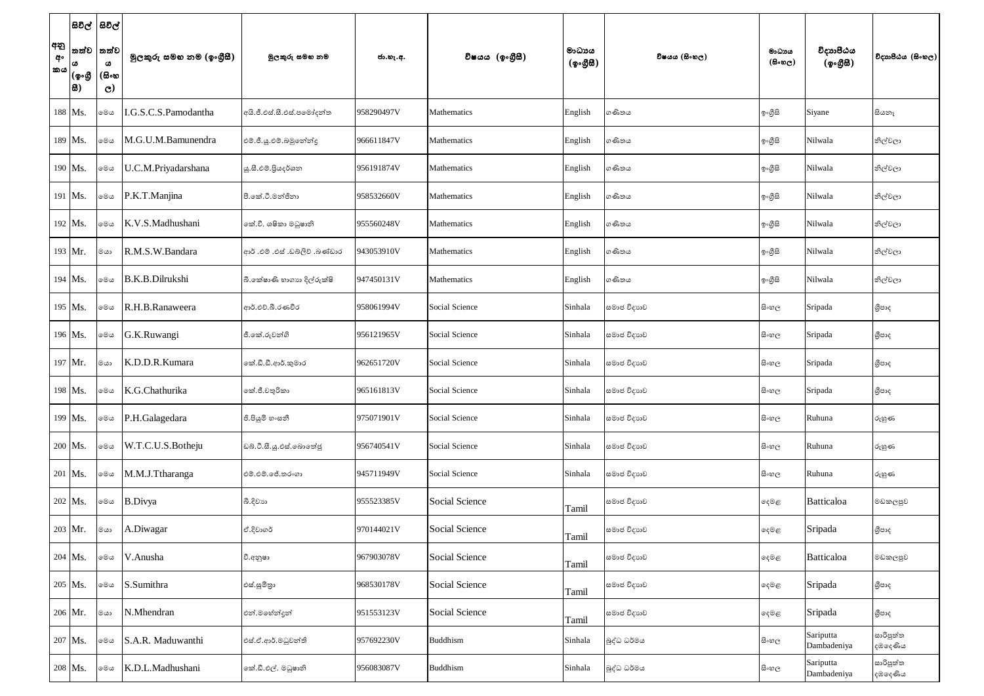| අනු<br>අං<br>කය | තත්ව<br>ය<br>(ඉංගී<br> සි) | සිවිල්  සිවිල්<br>තත්ව<br>$\pmb{\omega}$<br>(සිංහ<br>$\mathbf{C}$ | මුලකුරු සමහ නම (ඉංගුීසී) | මූලකුරු සමහ නම                 | ජා.හැ.අ.   | විෂයය (ඉංගීුසී)       | මාධායය<br>$({\cal Q} \circ \mathcal{B} \boxtimes)$ | විෂයය (සිංහල) | මාධාය<br>(සිංහල) | විදාහපීඨය<br>(ඉංගීසී)    | විදාහපීඨය (සිංහල)    |
|-----------------|----------------------------|-------------------------------------------------------------------|--------------------------|--------------------------------|------------|-----------------------|----------------------------------------------------|---------------|------------------|--------------------------|----------------------|
|                 | 188 Ms.                    | මෙය                                                               | .G.S.C.S.Pamodantha      | අයි.ජී.එස්.සී.එස්.පමෝදත්ත      | 958290497V | Mathematics           | English                                            | ගණිතය         | ඉංගුිසි          | Siyane                   | සියනෑ                |
|                 | 189 Ms.                    | මෙය                                                               | M.G.U.M.Bamunendra       | එම්.ජී.යූ.එම්.බමුනේන්දු        | 966611847V | Mathematics           | English                                            | ගණිතය         | ඉංගීසි           | Nilwala                  | නිල්වලා              |
|                 | 190 Ms.                    | මෙය                                                               | U.C.M.Priyadarshana      | යු.සී.එම්.පියදර්ශන             | 956191874V | Mathematics           | English                                            | ගණිතය         | ඉංගුිසි          | Nilwala                  | නිල්වලා              |
|                 | 191 Ms.                    | මෙය                                                               | P.K.T.Manjina            | පී.කේ.ටී.මන්ජිනා               | 958532660V | Mathematics           | English                                            | ගණිතය         | ඉංගුිසි          | Nilwala                  | නිල්වලා              |
|                 | 192 Ms.                    | මෙය                                                               | K.V.S.Madhushani         | කේ.වී. ශෂිකා මධුෂානි           | 955560248V | Mathematics           | English                                            | ගණිතය         | ඉංගුිසි          | Nilwala                  | නිල්වලා              |
|                 | 193 Mr.                    | මයා                                                               | R.M.S.W.Bandara          | ආර් .එම් .එස් .ඩබ්ලිව් .බණ්ඩාර | 943053910V | Mathematics           | English                                            | ගණිතය         | ඉංගුිසි          | Nilwala                  | නිල්වලා              |
|                 | 194 Ms.                    | මෙය                                                               | <b>B.K.B.Dilrukshi</b>   | බී.කේෂාණි හාගාහ දිල්රුක්ෂි     | 947450131V | Mathematics           | English                                            | ගණිතය         | ඉංගුිසි          | Nilwala                  | නිල්වලා              |
|                 | 195 Ms.                    | මෙය                                                               | R.H.B.Ranaweera          | ආර්.එච්.බී.රණවීර               | 958061994V | Social Science        | Sinhala                                            | සමාජ විදාහව   | සි∘හල            | Sripada                  | ශීපාද                |
|                 | 196 Ms.                    | මෙය                                                               | G.K.Ruwangi              | ජී.කේ.රුවන්ගි                  | 956121965V | Social Science        | Sinhala                                            | සමාජ විදාහව   | සි∘හල            | Sripada                  | ශීපාද                |
|                 | 197 Mr.                    | මයා                                                               | K.D.D.R.Kumara           | කේ.ඩී.ඩී.ආර්.කුමාර             | 962651720V | Social Science        | Sinhala                                            | සමාජ විදාහව   | සි∘හල            | Sripada                  | ශීපාද                |
|                 | 198 Ms.                    | මෙය                                                               | K.G.Chathurika           | කේ.ජී.චතුරිකා                  | 965161813V | Social Science        | Sinhala                                            | සමාජ විදාහව   | සිංහල            | Sripada                  | ශීපාද                |
|                 | 199 Ms.                    | මෙය                                                               | P.H.Galagedara           | ජී.පියුමි හංසනී                | 975071901V | Social Science        | Sinhala                                            | සමාජ විදාහව   | සි∘හල            | Ruhuna                   | රුහුණ                |
|                 | 200 Ms.                    | මෙය                                                               | W.T.C.U.S.Botheju        | ඩබ්.ටී.සී.යූ.එස්.බොතේජු        | 956740541V | Social Science        | Sinhala                                            | සමාජ විදාහව   | සි∘හල            | Ruhuna                   | රුහුණ                |
|                 | 201 Ms.                    | මෙය                                                               | M.M.J.Ttharanga          | එම්.එම්.ජේ.තරංගා               | 945711949V | Social Science        | Sinhala                                            | සමාජ විදාහව   | සි∘හල            | Ruhuna                   | රුහුණ                |
|                 | 202 Ms.                    | මෙය                                                               | <b>B.Divya</b>           | බී.දිවාහ                       | 955523385V | <b>Social Science</b> | Tamil                                              | සමාජ විදාහව   | දෙමළ             | Batticaloa               | මඩකලපුව              |
|                 | 203 Mr.                    | මයා                                                               | A.Diwagar                | ඒ.දිවාගර්                      | 970144021V | <b>Social Science</b> | Tamil                                              | සමාජ විදාහව   | දෙමළ             | Sripada                  | ශීපාද                |
|                 | 204 Ms.                    | මෙය                                                               | V.Anusha                 | වී.අනුෂා                       | 967903078V | <b>Social Science</b> | Tamil                                              | සමාජ විදාහව   | ෫෧෫              | Batticaloa               | මඩකලපුව              |
|                 | 205 Ms.                    | මෙය                                                               | S.Sumithra               | එස්.සුමිතුා                    | 968530178V | Social Science        | Tamil                                              | සමාජ විදාහව   | දෙමළ             | Sripada                  | ශීපාද                |
|                 | 206 Mr.                    | මයා                                                               | N.Mhendran               | එන්.මහේන්දුන්                  | 951553123V | <b>Social Science</b> | Tamil                                              | සමාජ විදාහව   | දෙමළ             | Sripada                  | ශීපාද                |
|                 | 207 Ms.                    | මෙය                                                               | S.A.R. Maduwanthi        | එස්.ඒ.ආර්.මධුවන්ති             | 957692230V | <b>Buddhism</b>       | Sinhala                                            | බුද්ධ ධර්මය   | සි∘හල            | Sariputta<br>Dambadeniya | සාරිපුත්ත<br>දඹදෙණිය |
|                 | 208 Ms.                    | මෙය                                                               | K.D.L.Madhushani         | කේ.ඩී.එල්. මධුෂානි             | 956083087V | <b>Buddhism</b>       | Sinhala                                            | බුද්ධ ධර්මය   | සි∘හල            | Sariputta<br>Dambadeniya | සාරිපුත්ත<br>දඹදෙණිය |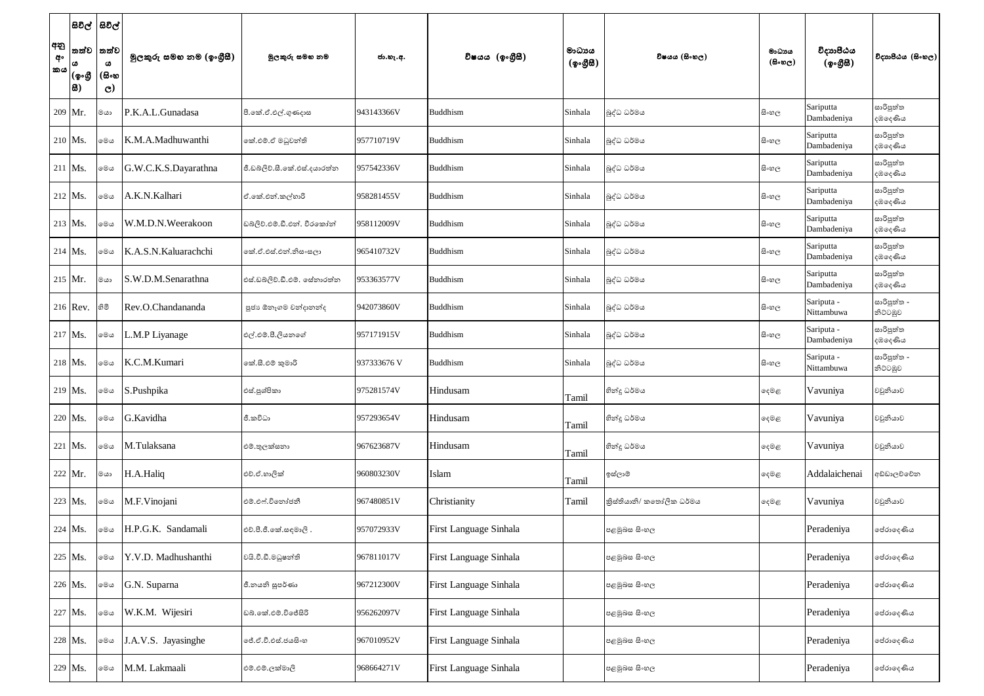|                 | $ \texttt{B}$ වල් $ $  | සිවිල්                             |                          |                              |             |                               |                                                  |                          |                                     |                           |                               |
|-----------------|------------------------|------------------------------------|--------------------------|------------------------------|-------------|-------------------------------|--------------------------------------------------|--------------------------|-------------------------------------|---------------------------|-------------------------------|
| අනු<br>අං<br>කය | තත්ව<br>(ඉංගුී<br> සි) | තත්ව<br>ය<br>(සිංහ<br>$\mathbf{C}$ | මූලකුරු සමහ නම (ඉංගුීසී) | මුලකුරු සමහ නම               | ජා.හැ.අ.    | විෂයය (ඉංගීුසී)               | මාධායය<br>$(\phi \circ \mathcal{B} \mathcal{B})$ | විෂයය (සිංහල)            | මාධායය<br>$(\theta \circ \omega_C)$ | විදාහපීඨය<br>(ඉංගීසී)     | විදාහපීඨය (සිංහල)             |
|                 | 209 Mr.                | මයා                                | P.K.A.L.Gunadasa         | පී.කේ.ඒ.එල්.ගුණදාස           | 943143366V  | <b>Buddhism</b>               | Sinhala                                          | බුද්ධ ධර්මය              | සි∘හල                               | Sariputta<br>Dambadeniya  | සාරිපුත්ත<br>දඹදෙණිය          |
|                 | $210$ Ms               | මෙය                                | K.M.A.Madhuwanthi        | කේ.එම්.ඒ මධුවන්ති            | 957710719V  | <b>Buddhism</b>               | Sinhala                                          | බුද්ධ ධර්මය              | සි∘හල                               | Sariputta<br>Dambadeniya  | සාරිපුත්ත<br>දඹලද <i>ණි</i> ය |
|                 | $211$ Ms.              | මෙය                                | G.W.C.K.S.Dayarathna     | ජී.ඩබ්ලිව්.සී.කේ.එස්.දයාරත්ත | 957542336V  | <b>Buddhism</b>               | Sinhala                                          | බුද්ධ ධර්මය              | සි∘හල                               | Sariputta<br>Dambadeniya  | සාරිපුත්ත<br>දඹදෙණිය          |
|                 | $212$ Ms.              | මෙය                                | A.K.N.Kalhari            | ඒ.කේ.එන්.කල්හාරි             | 958281455V  | <b>Buddhism</b>               | Sinhala                                          | බුද්ධ ධර්මය              | සි∘හල                               | Sariputta<br>Dambadeniya  | සාරිපුත්ත<br>දඹලද <i>ණි</i> ය |
|                 | 213 Ms.                | මෙය                                | W.M.D.N.Weerakoon        | ඩබලිව්.එම්.ඩී.එන්. වීරකෝන්   | 958112009V  | <b>Buddhism</b>               | Sinhala                                          | බුද්ධ ධර්මය              | සි∘හල                               | Sariputta<br>Dambadeniya  | සාරිපුත්ත<br>දඹදෙ <i>ණි</i> ය |
|                 | $214$ Ms.              | මෙය                                | K.A.S.N.Kaluarachchi     | ෙක්.ඒ.එස්.එන්.නිසංසලා        | 965410732V  | <b>Buddhism</b>               | Sinhala                                          | බුද්ධ ධර්මය              | සි∘හල                               | Sariputta<br>Dambadeniya  | සාරිපුත්ත<br>දඹදෙ <i>ණි</i> ය |
|                 | $215$ Mr.              | මයා                                | S.W.D.M.Senarathna       | එස්.ඩබ්ලිව්.ඩී.එම්. සේනාරත්න | 953363577V  | <b>Buddhism</b>               | Sinhala                                          | බුද්ධ ධර්මය              | සි∘හල                               | Sariputta<br>Dambadeniya  | සාරිපුත්ත<br>දඹලද <i>ණි</i> ය |
|                 | 216 Rev.               | හිමි                               | Rev.O.Chandananda        | පූජා ඕනෑගම වන්දානන්ද         | 942073860V  | <b>Buddhism</b>               | Sinhala                                          | බුද්ධ ධර්මය              | සි∘හල                               | Sariputa -<br>Nittambuwa  | සාරිපුත්ත -<br>නිට්ටඹුව       |
|                 | $217$ Ms.              | මෙය                                | L.M.P Liyanage           | එල්.එම්.පී.ලියනගේ            | 957171915V  | <b>Buddhism</b>               | Sinhala                                          | බුද්ධ ධර්මය              | සි∘හල                               | Sariputa -<br>Dambadeniya | සාරිපුත්ත<br>දඹදෙණිය          |
|                 | $218$ Ms.              | මෙය                                | K.C.M.Kumari             | කේ.සී.එම් කුමාරි             | 937333676 V | <b>Buddhism</b>               | Sinhala                                          | බුද්ධ ධර්මය              | සි∘හල                               | Sariputa -<br>Nittambuwa  | සාරිපුත්ත -<br>නිට්ටඹුව       |
|                 | 219 Ms.                | මෙය                                | S.Pushpika               | එස්.පුශ්පිකා                 | 975281574V  | Hindusam                      | Tamil                                            | හින්දු ධර්මය             | දෙමළ                                | Vavuniya                  | වවුනියාව                      |
|                 | 220 Ms.                | මෙය                                | G.Kavidha                | ජී.කවිධා                     | 957293654V  | Hindusam                      | Tamil                                            | හින්දු ධර්මය             | දෙමළ                                | Vavuniya                  | වවුනියාව                      |
|                 | 221 Ms.                | මෙය                                | M.Tulaksana              | එම්.තුලක්සනා                 | 967623687V  | Hindusam                      | Tamil                                            | හින්දු ධර්මය             | දෙමළ                                | Vavuniya                  | වවුනියාව                      |
|                 | 222 Mr.                | මයා                                | H.A.Haliq                | එච්.ඒ.හාලික්                 | 960803230V  | Islam                         | Tamil                                            | ඉස්ලාම්                  | දෙමළ                                | Addalaichenai             | අඩ්ඩාලච්චේන                   |
|                 | 223 Ms.                | මෙය                                | M.F.Vinojani             | එම්.එෆ්.විතෝජනී              | 967480851V  | Christianity                  | Tamil                                            | කිස්තියානි/ කතෝලික ධර්මය | දෙමළ                                | Vavuniya                  | වවුනියාව                      |
|                 | 224 Ms.                | මෙය                                | H.P.G.K. Sandamali       | එච්.පී.ජී.කේ.සඳමාලි.         | 957072933V  | First Language Sinhala        |                                                  | පළමුබස සිංහල             |                                     | Peradeniya                | පේරාදෙණිය                     |
|                 | 225 Ms.                | මෙය                                | Y.V.D. Madhushanthi      | වයි.වී.ඩී.මධුෂන්ති           | 967811017V  | <b>First Language Sinhala</b> |                                                  | පළමුබස සිංහල             |                                     | Peradeniya                | පේරාදෙණිය                     |
|                 | 226 Ms.                | මෙය                                | G.N. Suparna             | ජී.නයනි සුපර්ණා              | 967212300V  | <b>First Language Sinhala</b> |                                                  | පළමුබස සිංහල             |                                     | Peradeniya                | පේරාදෙණිය                     |
|                 | 227 Ms.                | මෙය                                | W.K.M. Wijesiri          | ඩබ්.කේ.එම්.විජේසිරි          | 956262097V  | First Language Sinhala        |                                                  | පළමුබස සිංහල             |                                     | Peradeniya                | පේරාදෙණිය                     |
|                 | 228 Ms.                | මෙය                                | J.A.V.S. Jayasinghe      | ලජ්.ඒ.වී.එස්.ජයසිංහ          | 967010952V  | <b>First Language Sinhala</b> |                                                  | පළමුබස සිංහල             |                                     | Peradeniya                | පේරාදෙණිය                     |
|                 | 229 Ms.                | මෙය                                | M.M. Lakmaali            | එම්.එම්.ලක්මාලි              | 968664271V  | <b>First Language Sinhala</b> |                                                  | පළමුබස සිංහල             |                                     | Peradeniya                | පේරාදෙණිය                     |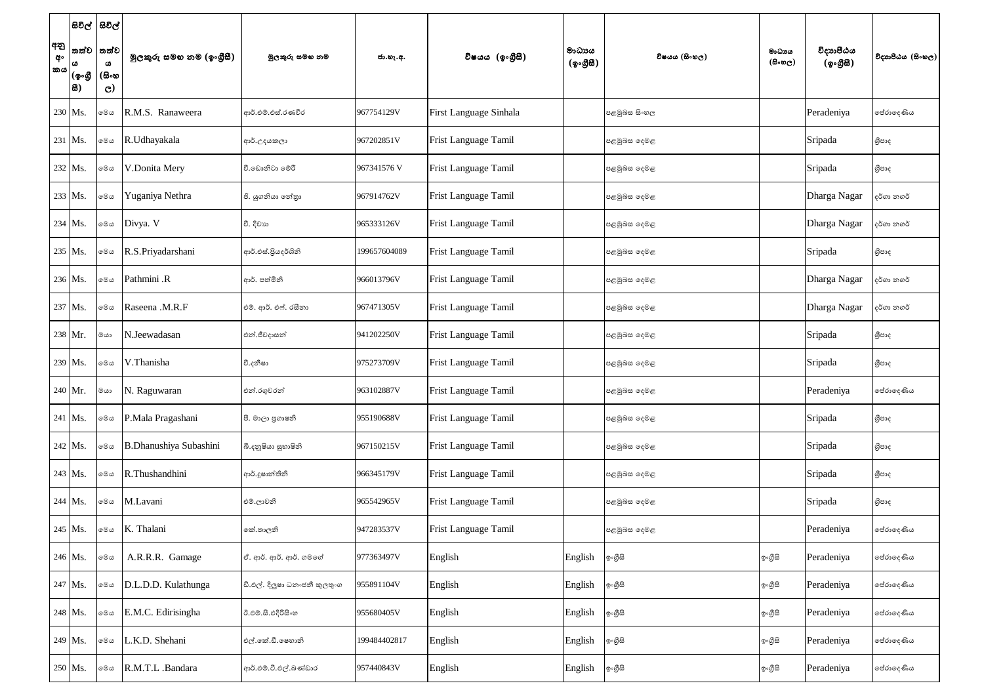| අනු<br>අං<br>කය | සිවිල්  සිවිල් <br>තත්ව<br> (စွ.တ္တိ<br> 8) | තත්ව<br>ω<br>(සිංහ<br>$\mathbf{C}$ | මුලකුරු සමහ නම (ඉංගුීසී) | මුලකුරු සමහ නම                | ජා.හැ.අ.     | විෂයය (ඉංගීුසි)             | මාධායය<br>$(\phi \circ \mathcal{B} \mathcal{B})$ | විෂයය (සිංහල) | මාධාය<br>(සිංහල) | විදාහපීඨය<br>(ඉංගීසී) | විදාහපීඨය (සිංහල) |
|-----------------|---------------------------------------------|------------------------------------|--------------------------|-------------------------------|--------------|-----------------------------|--------------------------------------------------|---------------|------------------|-----------------------|-------------------|
|                 | 230 Ms.                                     | මෙය                                | R.M.S. Ranaweera         | ආර්.එම්.එස්.රණවීර             | 967754129V   | First Language Sinhala      |                                                  | පළමුබස සිංහල  |                  | Peradeniya            | පේරාදෙණිය         |
|                 | $231$ Ms.                                   | මෙය                                | R.Udhayakala             | ආර්.උදයකලා                    | 967202851V   | Frist Language Tamil        |                                                  | පළමුබස දෙමළ   |                  | Sripada               | ශීපාද             |
|                 | $232$ Ms.                                   | මෙය                                | V.Donita Mery            | වී.ඩොනිටා මෙරී                | 967341576 V  | Frist Language Tamil        |                                                  | පළමුබස දෙමළ   |                  | Sripada               | ශීපාද             |
|                 | 233 Ms.                                     | මෙය                                | Yuganiya Nethra          | ජී. යුගනියා තේතුා             | 967914762V   | Frist Language Tamil        |                                                  | පළමුබස දෙමළ   |                  | Dharga Nagar          | දර්ගා නගර්        |
|                 | 234 Ms.                                     | මෙය                                | Divya. V                 | වී. දිවාහ                     | 965333126V   | Frist Language Tamil        |                                                  | පළමුබස දෙමළ   |                  | Dharga Nagar          | දර්ගා නගර්        |
|                 | 235 Ms.                                     | මෙය                                | R.S.Priyadarshani        | ආර්.එස්.පියදර්ශිනි            | 199657604089 | Frist Language Tamil        |                                                  | පළමුබස දෙමළ   |                  | Sripada               | ශීපාද             |
|                 | 236 Ms.                                     | මෙය                                | Pathmini .R              | ආර්. පත්මිනි                  | 966013796V   | Frist Language Tamil        |                                                  | පළමුබස දෙමළ   |                  | Dharga Nagar          | දර්ගා නගර්        |
|                 | 237 Ms.                                     | මෙය                                | Raseena .M.R.F           | එම්. ආර්. එෆ්. රසීනා          | 967471305V   | Frist Language Tamil        |                                                  | පළමුබස දෙමළ   |                  | Dharga Nagar          | දර්ගා නගර්        |
|                 | 238 Mr.                                     | මයා                                | N.Jeewadasan             | එන්.ජීවදාසන්                  | 941202250V   | Frist Language Tamil        |                                                  | පළමුබස දෙමළ   |                  | Sripada               | ශීපාද             |
|                 | 239 Ms.                                     | මෙය                                | V.Thanisha               | වී.දනීෂා                      | 975273709V   | Frist Language Tamil        |                                                  | පළමුබස දෙමළ   |                  | Sripada               | ශීපාද             |
|                 | 240 Mr.                                     | $ca$ ා                             | N. Raguwaran             | එන්.රගුවරන්                   | 963102887V   | <b>Frist Language Tamil</b> |                                                  | පළමුබස දෙමළ   |                  | Peradeniya            | පේරාදෙණිය         |
|                 | 241 Ms.                                     | මෙය                                | P.Mala Pragashani        | පී. මාලා පුගාෂනි              | 955190688V   | <b>Frist Language Tamil</b> |                                                  | පළමුබස දෙමළ   |                  | Sripada               | ශීපාද             |
|                 | $242$ Ms.                                   | මෙය                                | B.Dhanushiya Subashini   | බී.දකුෂියා සුභාෂිනි           | 967150215V   | Frist Language Tamil        |                                                  | පළමුබස දෙමළ   |                  | Sripada               | ශීපාද             |
|                 | 243 Ms.                                     | මෙය                                | R.Thushandhini           | ආර්.දූෂාන්තිනි                | 966345179V   | Frist Language Tamil        |                                                  | පළමුබස දෙමළ   |                  | Sripada               | ශීපාද             |
|                 | $244$ Ms.                                   | මෙය                                | M.Lavani                 | එම්.ලාවනී                     | 965542965V   | Frist Language Tamil        |                                                  | පළමුබස දෙමළ   |                  | Sripada               | ශීපාද             |
|                 | 245 Ms.                                     | මෙය                                | K. Thalani               | කේ.තාලනි                      | 947283537V   | Frist Language Tamil        |                                                  | පළමුබස දෙමළ   |                  | Peradeniya            | පේරාදෙණිය         |
|                 | 246 Ms.                                     | මෙය                                | A.R.R.R. Gamage          | ඒ. ආර්. ආර්. ආර්. ගමගේ        | 977363497V   | English                     | English                                          | ඉංගුිසි       | ඉංගීසි           | Peradeniya            | පේරාදෙණිය         |
|                 | 247 Ms.                                     | මෙය                                | D.L.D.D. Kulathunga      | ඩි.එල්. දිලුෂා ධනංජනී කුලතුංග | 955891104V   | English                     | English                                          | ඉංගුිසි       | ඉංගීසි           | Peradeniya            | පේරාදෙණිය         |
|                 | 248 Ms.                                     | මෙය                                | E.M.C. Edirisingha       | ඊ.එම්.සි.එදිරිසිංහ            | 955680405V   | English                     | English                                          | ඉංගීසි        | ඉංගුිසි          | Peradeniya            | පේරාදෙණිය         |
|                 | 249 Ms.                                     | මෙය                                | L.K.D. Shehani           | එල්.කේ.ඩී.ෂෙහානි              | 199484402817 | English                     | English                                          | ඉ∘ගීුසි       | ඉංගීසි           | Peradeniya            | පේරාදෙණිය         |
|                 | 250 Ms.                                     | මෙය                                | R.M.T.L .Bandara         | ආර්.එම්.ටී.එල්.බණ්ඩාර         | 957440843V   | English                     | English                                          | ඉංගීසි        | ඉංගුිසි          | Peradeniya            | පේරාදෙණිය         |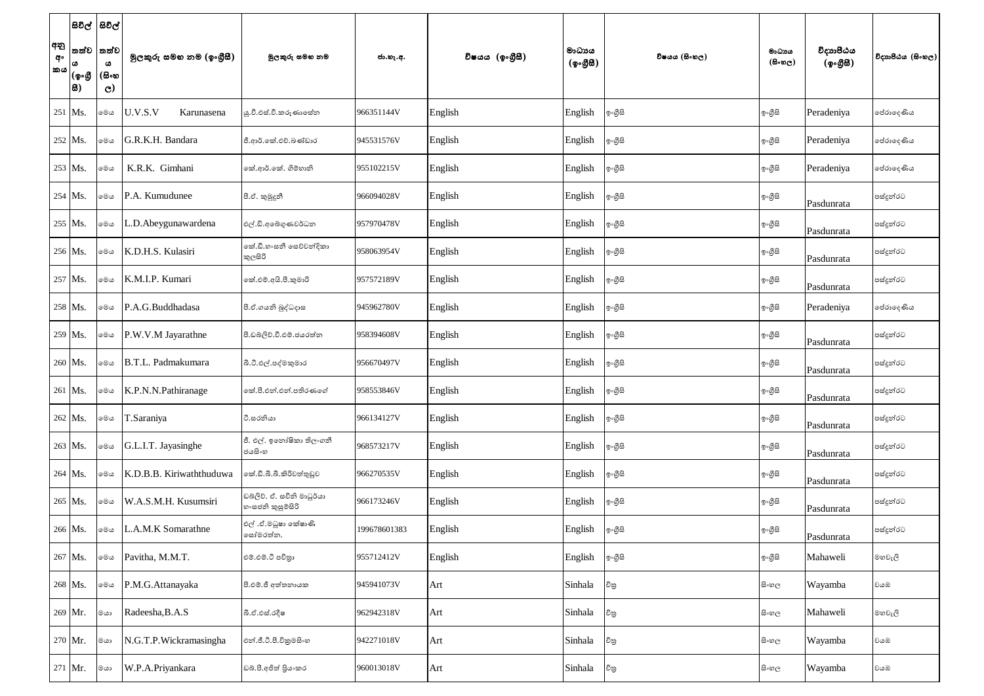| අනු<br>අං<br> කය | සිවිල්  සිවිල්<br>තත්ව<br> (စွ•൫<br> 8) | තත්ව<br>ω<br>(සිංහ<br>$\mathbf{C}$ | මුලකුරු සමහ නම (ඉංගුීසී) | මූලකුරු සමහ නම                               | ජා.හැ.අ.     | විෂයය (ඉංගීසී) | මාධායය<br>$({\cal Q} \circ \mathcal{B} \boxtimes)$ | විෂයය (සිංහල) | මාධාය<br>$(\theta \circ \omega_C)$ | විදාහපීඨය<br>(ඉංගීසී) | විදාහපීඨය (සිංහල) |
|------------------|-----------------------------------------|------------------------------------|--------------------------|----------------------------------------------|--------------|----------------|----------------------------------------------------|---------------|------------------------------------|-----------------------|-------------------|
| 251 Ms.          |                                         | මෙය                                | U.V.S.V<br>Karunasena    | ශු.වී.එස්.වී.කරුණාසේත                        | 966351144V   | English        | English                                            | ඉංගීසි        | ඉංගුිසි                            | Peradeniya            | පේරාදෙණිය         |
|                  | $252$ Ms.                               | මෙය                                | G.R.K.H. Bandara         | ජී.ආර්.කේ.එච්.බණ්ඩාර                         | 945531576V   | English        | English                                            | ඉංගීසි        | ඉංගුිසි                            | Peradeniya            | පේරාදෙණිය         |
|                  | 253 Ms.                                 | මෙය                                | K.R.K. Gimhani           | කේ.ආර්.කේ. ගිම්හානි                          | 955102215V   | English        | English                                            | ඉංගීසි        | ඉංගුිසි                            | Peradeniya            | පේරාදෙණිය         |
|                  | $254$ Ms.                               | මෙය                                | P.A. Kumudunee           | පී.ඒ. කුමුදුනී                               | 966094028V   | English        | English                                            | ඉංගීසි        | ඉ∘ගීසි                             | Pasdunrata            | පස්දුන්රට         |
|                  | 255 Ms.                                 | මෙය                                | L.D.Abeygunawardena      | එල්.ඩි.අබේගුණවර්ධන                           | 957970478V   | English        | English                                            | ඉංගීසි        | ඉංගුිසි                            | Pasdunrata            | පස්දුන්රට         |
|                  | 256 Ms.                                 | මෙය                                | K.D.H.S. Kulasiri        | නේ.ඩී.හ∘සනී සෙව්වන්දිකා<br>කුලසිරි           | 958063954V   | English        | English                                            | ඉංගීසි        | ඉ∘ගීසි                             | Pasdunrata            | පස්දුන්රට         |
|                  | 257 Ms.                                 | මෙය                                | K.M.I.P. Kumari          | කේ.එම්.අයි.පී.කුමාරි                         | 957572189V   | English        | English                                            | ඉංගීසි        | ඉ∘ගීසි                             | Pasdunrata            | පස්දුන්රට         |
|                  | 258 Ms.                                 | මෙය                                | P.A.G.Buddhadasa         | පී.ඒ.ගයනි බුද්ධදාස                           | 945962780V   | English        | English                                            | ඉංගුිසි       | ඉංගීසි                             | Peradeniya            | පේරාදෙණිය         |
|                  | 259 Ms.                                 | මෙය                                | P.W.V.M Jayarathne       | පී.ඩබ්ලිව්.වී.එම්.ජයරත්න                     | 958394608V   | English        | English                                            | ඉංගීසි        | ඉ∘ගීසි                             | Pasdunrata            | පස්දුන්රට         |
|                  | $260$ Ms.                               | මෙය                                | B.T.L. Padmakumara       | බී.ටී.එල්.පද්මකුමාර                          | 956670497V   | English        | English                                            | ඉංගුිසි       | ඉංගීසි                             | Pasdunrata            | පස්දුන්රට         |
|                  | 261 Ms.                                 | මෙය                                | K.P.N.N.Pathiranage      | කේ.පී.එන්.එන්.පතිරණගේ                        | 958553846V   | English        | English                                            | ඉංගීසි        | ඉ∘ගීුසි                            | Pasdunrata            | පස්දුන්රට         |
|                  | 262 Ms.                                 | මෙය                                | T.Saraniya               | ටී.සරනියා                                    | 966134127V   | English        | English                                            | ඉ∘ගීුසි       | ඉංගුිසි                            | Pasdunrata            | පස්දුන්රට         |
|                  | 263 Ms.                                 | මෙය                                | G.L.I.T. Jayasinghe      | ජී. එල්. ඉතෝෂිකා තිලංගනී<br>ජයසිංහ           | 968573217V   | English        | English                                            | ඉංගුිසි       | ඉංගීසි                             | Pasdunrata            | පස්දුන්රට         |
|                  | 264 Ms.                                 | මෙය                                | K.D.B.B. Kiriwaththuduwa | කේ.ඩී.බී.බී.කිරිවත්තුඩුව                     | 966270535V   | English        | English                                            | ඉංගීසි        | ඉංගුිසි                            | Pasdunrata            | පස්දුන්රට         |
|                  | 265 Ms.                                 | මෙය                                | W.A.S.M.H. Kusumsiri     | ඩබලිව. ඒ. සචිනි මාධූර්යා<br>හ∘සජනි කුසුමසිරි | 966173246V   | English        | English                                            | ඉංගීසි        | ඉ∘ගීසි                             | Pasdunrata            | පස්දූන්රට         |
|                  | 266 Ms.                                 | මෙය                                | L.A.M.K Somarathne       | එල් .ඒ.මධූෂා කේෂාණි<br>සෝමරත්න.              | 199678601383 | English        | English                                            | ඉංගුිසි       | ඉ∘ගීුසි                            | Pasdunrata            | පස්දුන්රට         |
|                  | 267 Ms.                                 | මෙය                                | Pavitha, M.M.T.          | එම්.එම්.ටී පවිතුා                            | 955712412V   | English        | English                                            | ඉංගීසි        | ඉංගීසි                             | Mahaweli              | මහවැලි            |
|                  | 268 Ms.                                 | මෙය                                | P.M.G.Attanayaka         | පී.එම්.ජී අත්තනායක                           | 945941073V   | Art            | Sinhala                                            | චිනු          | සි∘හල                              | Wayamba               | වයඹ               |
|                  | 269 Mr.                                 | මයා                                | Radeesha, B.A.S          | බී.ඒ.එස්.රදීෂ                                | 962942318V   | Art            | Sinhala                                            | චිතු          | සි∘හල                              | Mahaweli              | මහවැලි            |
|                  | 270 Mr.                                 | මයා                                | N.G.T.P.Wickramasingha   | එන්.ජී.ටී.පී.විකුමසිංහ                       | 942271018V   | Art            | Sinhala                                            | චිතු          | සි∘හල                              | Wayamba               | වයඹ               |
|                  | $271$ Mr.                               | $ca$ ා                             | W.P.A.Priyankara         | ඩබ්.පී.අජිත් පියංකර                          | 960013018V   | Art            | Sinhala                                            | චිනු          | සි∘හල                              | Wayamba               | වයඹ               |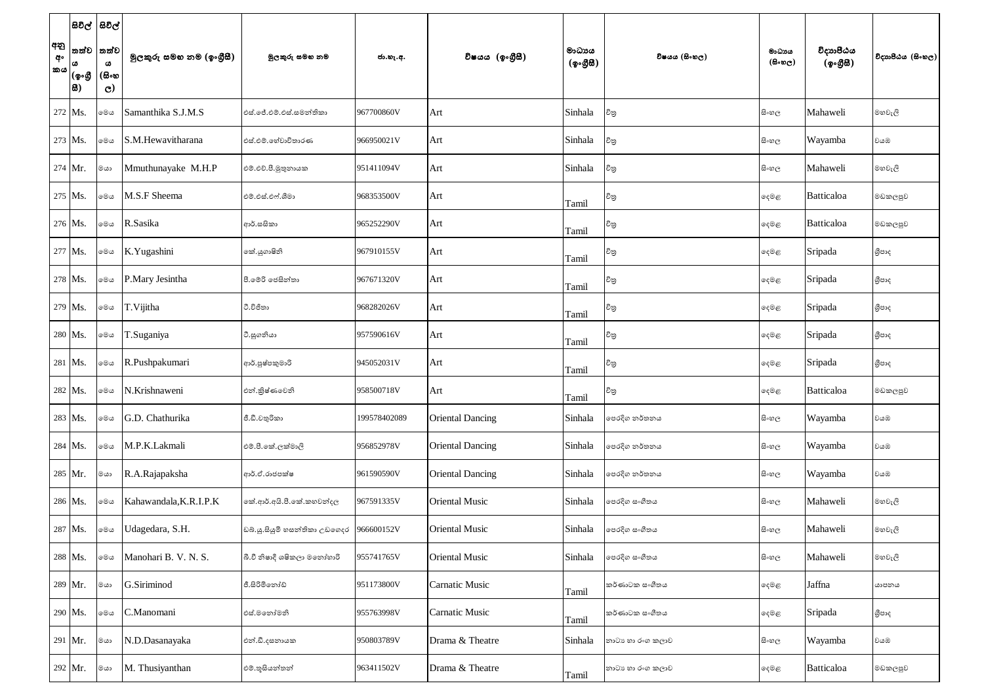| අනු<br>අං<br><b>කය</b> | සිවිල්  සිවිල්<br>්තත්ව<br> (စွ•൫<br> 8) | තත්ව<br>$\pmb{\omega}$<br>(සිංහ<br>$\mathbf{C}$ | මුලකුරු සමහ නම (ඉංගුීසී) | මුලකුරු සමහ නම                | ජා.හැ.අ.     | විෂයය (ඉංගීසී)          | මාධායය<br>$({\cal Q} \circ \mathcal{B} \boxtimes)$ | විෂයය (සිංහල)    | මාධාය<br>(සිංහල) | විදාහපීඨය<br>(ඉංගීසී) | විදාහපීඨය (සිංහල) |
|------------------------|------------------------------------------|-------------------------------------------------|--------------------------|-------------------------------|--------------|-------------------------|----------------------------------------------------|------------------|------------------|-----------------------|-------------------|
|                        | 272 Ms.                                  | මෙය                                             | Samanthika S.J.M.S       | එස්.ජේ.එම්.එස්.සමන්තිකා       | 967700860V   | Art                     | Sinhala                                            | චිනු             | සි∘හල            | Mahaweli              | මහවැලි            |
|                        | 273 Ms.                                  | මෙය                                             | S.M.Hewavitharana        | එස්.එම්.හේවාවිතාරණ            | 966950021V   | Art                     | Sinhala                                            | චිනු             | සි∘හල            | Wayamba               | වයඹ               |
|                        | $274$ Mr.                                | මයා                                             | Mmuthunayake M.H.P       | එම්.එච්.පී.මුතුනායක           | 951411094V   | Art                     | Sinhala                                            | චිනු             | සි∘හල            | Mahaweli              | මහවැලි            |
|                        | $275$ Ms.                                | මෙය                                             | M.S.F Sheema             | එම්.එස්.එෆ්.ශීමා              | 968353500V   | Art                     | Tamil                                              | විතු             | දෙමළ             | Batticaloa            | මඩකලපුව           |
|                        | 276 Ms.                                  | මෙය                                             | R.Sasika                 | ආර්.සසිකා                     | 965252290V   | Art                     | Tamil                                              | විතු             | දෙමළ             | Batticaloa            | මඩකලපුව           |
|                        | 277 Ms.                                  | මෙය                                             | K.Yugashini              | කේ.යුගාෂිනි                   | 967910155V   | Art                     | Tamil                                              | විතු             | දෙමළ             | Sripada               | ශීපාද             |
|                        | 278 Ms.                                  | මෙය                                             | P.Mary Jesintha          | පී.මේරි ජෙසින්තා              | 967671320V   | Art                     | Tamil                                              | විතු             | දෙමළ             | Sripada               | ශීපාද             |
|                        | 279 Ms.                                  | මෙය                                             | T. Vijitha               | ටී.විජිතා                     | 968282026V   | Art                     | Tamil                                              | විතු             | දෙමළ             | Sripada               | ශීපාද             |
|                        | 280   Ms.                                | මෙය                                             | T.Suganiya               | ටී.සුගනියා                    | 957590616V   | Art                     | Tamil                                              | චිතු             | දෙමළ             | Sripada               | ශීපාද             |
|                        | 281   Ms.                                | මෙය                                             | R.Pushpakumari           | ආර්.පුෂ්පකුමාරි               | 945052031V   | Art                     | Tamil                                              | විතු             | ඈමළ              | Sripada               | ශීපාද             |
|                        | 282 Ms.                                  | මෙය                                             | N.Krishnaweni            | එන්.කුිෂ්ණවෙනි                | 958500718V   | Art                     | Tamil                                              | චිතු             | දෙමළ             | Batticaloa            | මඩකලපුව           |
|                        | 283 Ms.                                  | මෙය                                             | G.D. Chathurika          | ජී.ඩී.චතුරිකා                 | 199578402089 | <b>Oriental Dancing</b> | Sinhala                                            | පෙරදිග නර්තනය    | සි∘හල            | Wayamba               | වයඹ               |
|                        | 284 Ms.                                  | මෙය                                             | M.P.K.Lakmali            | එම්.පී.කේ.ලක්මාලි             | 956852978V   | <b>Oriental Dancing</b> | Sinhala                                            | පෙරදිග නර්තනය    | සි∘හල            | Wayamba               | වයඹ               |
|                        | 285 Mr.                                  | මයා                                             | R.A.Rajapaksha           | ආර්.ඒ.රාජපක්ෂ                 | 961590590V   | <b>Oriental Dancing</b> | Sinhala                                            | පෙරදිග නර්තනය    | සි∘හල            | Wayamba               | වයඹ               |
|                        | 286 Ms.                                  | මෙය                                             | Kahawandala, K.R.I.P.K   | තේ.ආර්.අයි.පී.කේ.කහවත්දල      | 967591335V   | <b>Oriental Music</b>   | Sinhala                                            | පෙරදිග සංගීතය    | සි∘හල            | Mahaweli              | මහවැලි            |
|                        | 287 Ms.                                  | මෙය                                             | Udagedara, S.H.          | ඩබ්.ශු.සියුමි හසන්තිකා උඩගෙදර | 966600152V   | <b>Oriental Music</b>   | Sinhala                                            | පෙරදිග සංගීතය    | සි∘හල            | Mahaweli              | මහවැලි            |
|                        | 288 Ms.                                  | මෙය                                             | Manohari B. V. N. S.     | බී.වී නිෂාදී ශෂිකලා මනෝහාරි   | 955741765V   | <b>Oriental Music</b>   | Sinhala                                            | පෙරදිග සංගීතය    | සි∘හල            | Mahaweli              | මහවැලි            |
|                        | 289 Mr.                                  | ගය                                              | G.Siriminod              | ජී.සිරිමිනෝඩ්                 | 951173800V   | <b>Carnatic Music</b>   | Tamil                                              | කර්ණාටක සංගීතය   | දෙමළ             | Jaffna                | යාපනය             |
|                        | 290 Ms.                                  | මෙය                                             | C.Manomani               | එස්.මතෝමනි                    | 955763998V   | <b>Carnatic Music</b>   | Tamil                                              | කර්ණාටක සංගීතය   | දෙමළ             | Sripada               | ශීපාද             |
|                        | 291 Mr.                                  | මයා                                             | N.D.Dasanayaka           | එන්.ඩී.දසනායක                 | 950803789V   | Drama & Theatre         | Sinhala                                            | නාටා හා රංග කලාව | සි∘හල            | Wayamba               | වයඹ               |
|                        | 292 Mr.                                  | $ca$ ා                                          | M. Thusiyanthan          | එම්.තූසියන්තන්                | 963411502V   | Drama & Theatre         | Tamil                                              | නාටා හා රංග කලාව | ඈමළ              | Batticaloa            | මඩකලපුව           |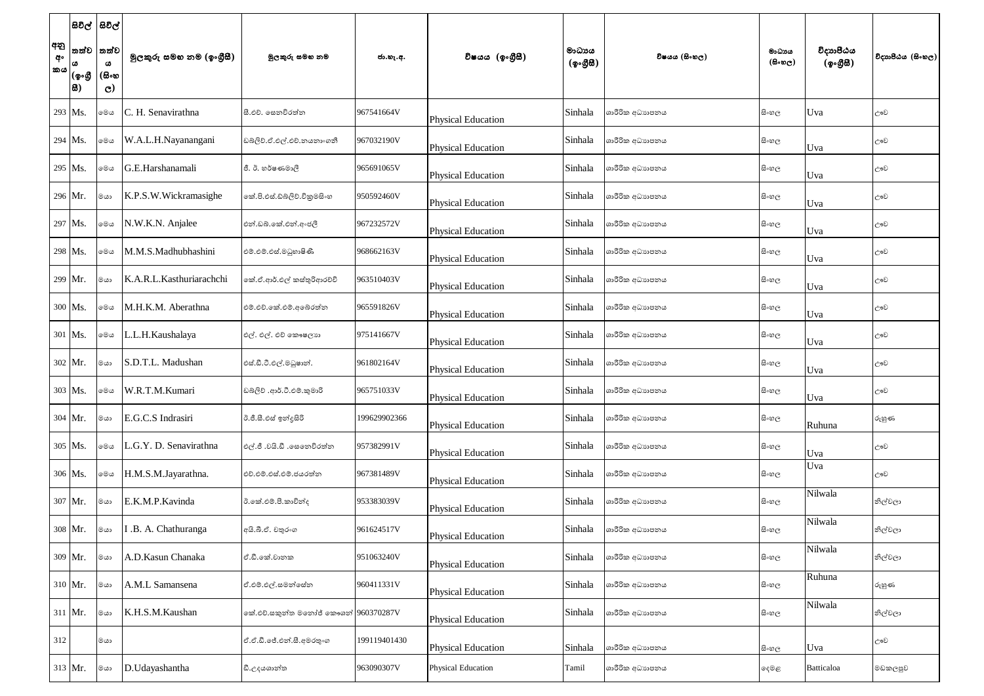| අනු<br>අ॰<br><b>්කය</b> | සිවිල්  සිවිල්<br>්තත්ව<br> (စွ•൫<br> 83) | තත්ව<br>$\pmb{\omega}$<br>(සිංහ<br>$\mathbf{C}$ | මුලකුරු සමහ නම (ඉංගුීසී) | මූලකුරු සමහ නම                       | ජා.හැ.අ.     | විෂයය (ඉංගීසී)            | මාධායය<br>$({\cal Q} \circ {\cal GB})$ | විෂයය (සිංහල)   | මාධායය<br>(සිංහල) | විදාහපීඨය<br>(ඉංගීසී) | විදාහපීඨය (සිංහල) |
|-------------------------|-------------------------------------------|-------------------------------------------------|--------------------------|--------------------------------------|--------------|---------------------------|----------------------------------------|-----------------|-------------------|-----------------------|-------------------|
|                         | $293$ Ms.                                 | මෙය                                             | C. H. Senavirathna       | සී.එච්. සෙනවිරත්න                    | 967541664V   | <b>Physical Education</b> | Sinhala                                | ශාරීරික අධාහපනය | සි∘හල             | Uva                   | ඌව                |
|                         | $294$ Ms.                                 | මෙය                                             | W.A.L.H.Nayanangani      | ඩබ්ලිව්.ඒ.එල්.එච්.නයනාංගනී           | 967032190V   | <b>Physical Education</b> | Sinhala                                | ශාරීරික අධාහපනය | සිංහල             | Uva                   | ඌව                |
|                         | 295 Ms.                                   | මෙය                                             | G.E.Harshanamali         | ජී. ඊ. හර්ෂණමාලී                     | 965691065V   | <b>Physical Education</b> | Sinhala                                | ශාරීරික අධාහපනය | සි∘හල             | Uva                   | ඌව                |
|                         | 296 Mr.                                   | මයා                                             | K.P.S.W.Wickramasighe    | නේ.පි.එස්.ඩ්බ්ලිව්.විකුමසිංහ         | 950592460V   | <b>Physical Education</b> | Sinhala                                | ශාරීරික අධාහපනය | සි∘හල             | Uva                   | ඌව                |
|                         | 297 Ms.                                   | මෙය                                             | N.W.K.N. Anjalee         | එන්.ඩබ්.කේ.එන්.අංජලී                 | 967232572V   | <b>Physical Education</b> | Sinhala                                | ශාරීරික අධාහපනය | සිංහල             | Uva                   | ඌව                |
|                         | 298 Ms.                                   | මෙය                                             | M.M.S.Madhubhashini      | එම්.එම්.එස්.මධුහාෂිණී                | 968662163V   | <b>Physical Education</b> | Sinhala                                | ශාරීරික අධාහපනය | සි∘හල             | Uva                   | ඌව                |
|                         | 299 Mr.                                   | මයා                                             | K.A.R.L.Kasthuriarachchi | කේ.ඒ.ආර්.එල් කස්තුරිආරච්චි           | 963510403V   | <b>Physical Education</b> | Sinhala                                | ශාරීරික අධාහපනය | සි∘හල             | Uva                   | ඌව                |
|                         | 300 Ms.                                   | මෙය                                             | M.H.K.M. Aberathna       | එම්.එච්.කේ.එම්.අබේරත්න               | 965591826V   | <b>Physical Education</b> | Sinhala                                | ශාරීරික අධාහපනය | සි∘හල             | Uva                   | ඌව                |
|                         | $301$ Ms.                                 | මෙය                                             | L.L.H.Kaushalaya         | එල්. එල්. එච් කෞෂලාග                 | 975141667V   | <b>Physical Education</b> | Sinhala                                | ශාරීරික අධාහපනය | සි∘හල             | Uva                   | ඌව                |
|                         | $302$ Mr.                                 | ගය                                              | S.D.T.L. Madushan        | එස්.ඩී.ටී.එල්.මධුෂාන්.               | 961802164V   | <b>Physical Education</b> | Sinhala                                | ශාරීරික අධාහපනය | සි∘හල             | Uva                   | ඌව                |
|                         | 303 Ms.                                   | මෙය                                             | W.R.T.M.Kumari           | ඩබලිව් .ආර්.ටී.එම්.කුමාරි            | 965751033V   | <b>Physical Education</b> | Sinhala                                | ශාරීරික අධාහපනය | සි∘හල             | Uva                   | ඌව                |
|                         | 304 Mr.                                   | මයා                                             | E.G.C.S Indrasiri        | ඊ.ජී.සී.එස් ඉන්දුසිරි                | 199629902366 | <b>Physical Education</b> | Sinhala                                | ශාරීරික අධාහපනය | සිංහල             | Ruhuna                | රුහුණ             |
|                         | 305 Ms.                                   | මෙය                                             | L.G.Y. D. Senavirathna   | එල්.ජී .වයි.ඩී .සෙනෙවිරත්ත           | 957382991V   | <b>Physical Education</b> | Sinhala                                | ශාරීරික අධාහපනය | සි∘හල             | Uva                   | ඌව                |
|                         | 306 Ms.                                   | මෙය                                             | H.M.S.M.Jayarathna.      | එච්.එම්.එස්.එම්.ජයරත්ත               | 967381489V   | <b>Physical Education</b> | Sinhala                                | ශාරීරික අධාහපනය | සිංහල             | Uva                   | ඌව                |
|                         | 307 Mr.                                   | ගය                                              | E.K.M.P.Kavinda          | ඊ.කේ.එම්.පී.කාවින්ද                  | 953383039V   | <b>Physical Education</b> | Sinhala                                | ශාරීරික අධාහපනය | සිංහල             | Nilwala               | නිල්වලා           |
|                         | 308 Mr.                                   | මයා                                             | .B. A. Chathuranga       | අයි.බී.ඒ. චතුරංග                     | 961624517V   | <b>Physical Education</b> | Sinhala                                | ශාරීරික අධාහපනය | සි∘හල             | Nilwala               | නිල්වලා           |
|                         | 309 Mr.                                   | මයා                                             | A.D.Kasun Chanaka        | ඒ.ඩී.කේ.වානක                         | 951063240V   | <b>Physical Education</b> | Sinhala                                | ශාරීරික අධාහපනය | සිංහල             | Nilwala               | නිල්වලා           |
|                         | 310 Mr.                                   | මයා                                             | A.M.L Samansena          | ඒ.එම්.එල්.සමන්සේන                    | 960411331V   | <b>Physical Education</b> | Sinhala                                | ශාරීරික අධාහපනය | සි∘හල             | Ruhuna                | රුහුණ             |
|                         | $311$ Mr.                                 | මයා                                             | K.H.S.M.Kaushan          | කේ.එච්.සකුත්ත මතෝජ් කෞශන් 960370287V |              | <b>Physical Education</b> | Sinhala                                | ශාරීරික අධාහපනය | සි∘හල             | Nilwala               | නිල්වලා           |
| 312                     |                                           | ගය                                              |                          | ඒ.ඒ.ඩී.ජේ.එන්.සී.අමරතුංග             | 199119401430 | <b>Physical Education</b> | Sinhala                                | ශාරීරික අධාහපනය | සිංහල             | Uva                   | ඌව                |
|                         | $313$ Mr.                                 | මයා                                             | D.Udayashantha           | ඩී.උදයශාන්ත                          | 963090307V   | <b>Physical Education</b> | Tamil                                  | ශාරීරික අධාහපනය | ඈමළ               | Batticaloa            | මඩකලපුව           |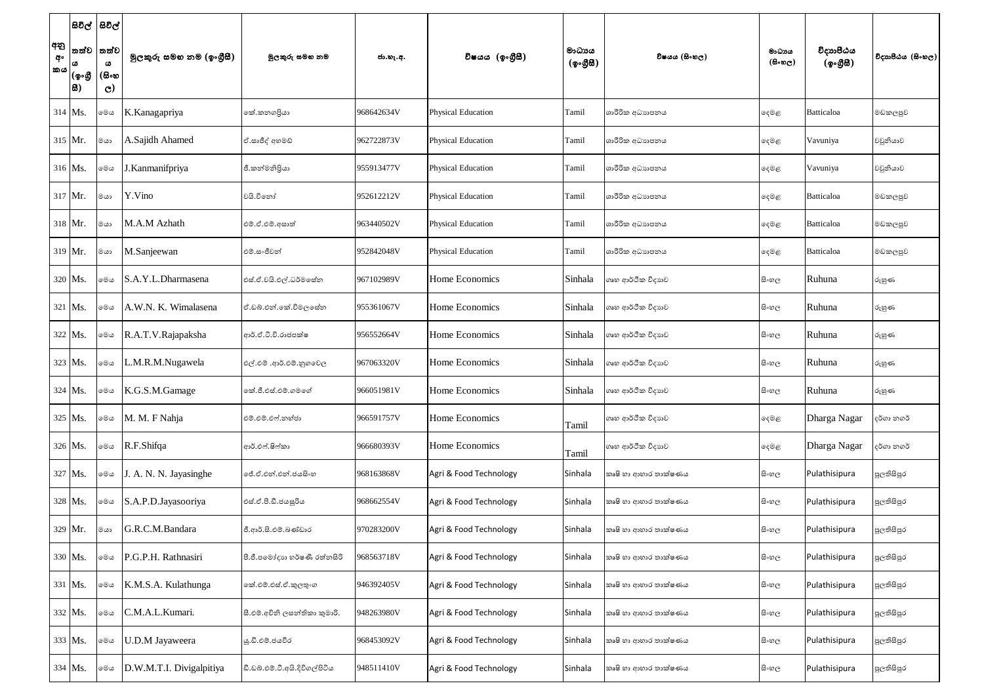| අනු<br>අං<br>කය | තත්ව<br>(ඉංගී<br> සි) | සිවිල්  සිවිල්<br>තත්ව<br>ය<br>(සිංහ<br>$\mathbf{C}$ | මුලකුරු සමහ නම (ඉංගුීසී) | මූලකුරු සමහ නම                 | ජා.හැ.අ.   | විෂයය (ඉංගීසී)            | මාධායය<br>$({\cal Q} \circ \mathcal{B} \boxtimes)$ | විෂයය (සිංහල)        | මාධාය<br>$($ සිංහල $)$ | විදාහපීඨය<br>(ඉංගීසී) | විදාහපීඨය (සිංහල) |
|-----------------|-----------------------|------------------------------------------------------|--------------------------|--------------------------------|------------|---------------------------|----------------------------------------------------|----------------------|------------------------|-----------------------|-------------------|
|                 | $314$ Ms.             | මෙය                                                  | K.Kanagapriya            | කේ.කනගපියා                     | 968642634V | <b>Physical Education</b> | Tamil                                              | ශාරීරික අධාහපනය      | ඈමළ                    | Batticaloa            | මඩකලපුව           |
|                 | 315 Mr.               | මයා                                                  | A.Sajidh Ahamed          | ඒ.සාජීද් අහමඩ්                 | 962722873V | <b>Physical Education</b> | Tamil                                              | ශාරීරික අධාහපනය      | දෙමළ                   | Vavuniya              | වවුනියාව          |
|                 | 316 Ms.               | මෙය                                                  | .Kanmanifpriya           | ජී.කන්මනිපියා                  | 955913477V | <b>Physical Education</b> | Tamil                                              | ශාරීරික අධාහපනය      | ඈමළ                    | Vavuniya              | වවුනියාව          |
|                 | $317$ Mr.             | මයා                                                  | Y.Vino                   | වයි.විනෝ                       | 952612212V | <b>Physical Education</b> | Tamil                                              | ශාරීරික අධාහපනය      | දෙමළ                   | Batticaloa            | මඩකලපුව           |
|                 | 318 Mr.               | මයා                                                  | M.A.M Azhath             | එම්.ඒ.එම්.අසාත්                | 963440502V | <b>Physical Education</b> | Tamil                                              | ශාරීරික අධාහපනය      | දෙමළ                   | Batticaloa            | මඩකලපුව           |
|                 | 319 Mr.               | මයා                                                  | M.Sanjeewan              | එම්.සංජීවන්                    | 952842048V | <b>Physical Education</b> | Tamil                                              | ශාරීරික අධාහපනය      | දෙමළ                   | Batticaloa            | මඩකලපුව           |
|                 | 320 Ms.               | මෙය                                                  | S.A.Y.L.Dharmasena       | එස්.ඒ.වයි.එල්.ධර්මසේන          | 967102989V | Home Economics            | Sinhala                                            | ගෘහ ආර්ථික විදාහව    | සි∘හල                  | Ruhuna                | රුහුණ             |
|                 | 321 Ms.               | මෙය                                                  | A.W.N. K. Wimalasena     | ඒ.ඩබ්.එන්.කේ.විමලසේන           | 955361067V | Home Economics            | Sinhala                                            | ගෘහ ආර්ථික විදාහව    | සි∘හල                  | Ruhuna                | රුහුණ             |
|                 | 322 Ms.               | මෙය                                                  | R.A.T.V.Rajapaksha       | ආර්.ඒ.ටී.වී.රාජපක්ෂ            | 956552664V | Home Economics            | Sinhala                                            | ගෘහ ආර්ථික විදාහව    | සි∘හල                  | Ruhuna                | රුහුණ             |
|                 | 323 Ms.               | මෙය                                                  | L.M.R.M.Nugawela         | එල්.එම් .ආර්.එම්.නුගවෙල        | 967063320V | Home Economics            | Sinhala                                            | ගෘහ ආර්ථික විදාහව    | සිංහල                  | Ruhuna                | රුහුණ             |
|                 | 324 Ms.               | මෙය                                                  | K.G.S.M.Gamage           | කේ.ජී.එස්.එම්.ගමගේ             | 966051981V | Home Economics            | Sinhala                                            | ගෘහ ආර්ථික විදාහව    | සි∘හල                  | Ruhuna                | රුහුණ             |
|                 | 325 Ms.               | මෙය                                                  | M. M. F Nahja            | එම්.එම්.එෆ්.නහ්ජා              | 966591757V | Home Economics            | Tamil                                              | ගෘහ ආර්ථික විදාහව    | දෙමළ                   | Dharga Nagar          | දර්ගා නගර්        |
|                 | 326 Ms.               | මෙය                                                  | R.F.Shifqa               | ආර්.එෆ්.ෂිෆ්කා                 | 966680393V | Home Economics            | Tamil                                              | ගෘහ ආර්ථික විදාහව    | දෙමළ                   | Dharga Nagar          | දර්ගා නගර්        |
|                 | 327 Ms.               | මෙය                                                  | J. A. N. N. Jayasinghe   | ලේ.ඒ.එන්.එන්.ජයසි∘හ            | 968163868V | Agri & Food Technology    | Sinhala                                            | කෘෂි හා ආහාර තාක්ෂණය | සි∘හල                  | Pulathisipura         | පුලතිසිපුර        |
|                 | 328 Ms.               | මෙය                                                  | S.A.P.D.Jayasooriya      | එස්.ඒ.පී.ඩී.ජයසූරිය            | 968662554V | Agri & Food Technology    | Sinhala                                            | කෘෂි හා ආහාර තාක්ෂණය | සිංහල                  | Pulathisipura         | පුලතිසිපුර        |
|                 | 329 Mr.               | මයා                                                  | G.R.C.M.Bandara          | ජී.ආර්.සි.එම්.බණ්ඩාර           | 970283200V | Agri & Food Technology    | Sinhala                                            | කෘෂි හා ආහාර තාක්ෂණය | සි∘හල                  | Pulathisipura         | පුලතිසිපුර        |
|                 | 330 Ms.               | මෙය                                                  | P.G.P.H. Rathnasiri      | පී.ජී.පමෝදාහ හර්ෂණී රත්නසිරි   | 968563718V | Agri & Food Technology    | Sinhala                                            | කෘෂි හා ආහාර තාක්ෂණය | සි∘හල                  | Pulathisipura         | පුලතිසිපුර        |
|                 | 331 Ms.               | මෙය                                                  | K.M.S.A. Kulathunga      | කේ.එම්.එස්.ඒ.කූලතුංග           | 946392405V | Agri & Food Technology    | Sinhala                                            | කෘෂි හා ආහාර තාක්ෂණය | සිංහල                  | Pulathisipura         | පුලතිසිපුර        |
|                 | 332 Ms.               | මෙය                                                  | C.M.A.L.Kumari.          | සී.එම්.අචිනි ලසන්තිකා කුමාරි.  | 948263980V | Agri & Food Technology    | Sinhala                                            | කෘෂි හා ආහාර තාක්ෂණය | සි∘හල                  | Pulathisipura         | පුලතිසිපුර        |
|                 | 333 Ms.               | මෙය                                                  | J.D.M Jayaweera          | <u>ශු.ඩී.එම්.ජයවීර</u>         | 968453092V | Agri & Food Technology    | Sinhala                                            | කෘෂි හා ආහාර තාක්ෂණය | සිංහල                  | Pulathisipura         | පුලතිසිපුර        |
|                 | 334 Ms.               | මෙය                                                  | D.W.M.T.I. Divigalpitiya | ඩී.ඩබ්.එම්.ටී.අයි.දිවිගල්පිටිය | 948511410V | Agri & Food Technology    | Sinhala                                            | කෘෂි හා ආහාර තාක්ෂණය | සිංහල                  | Pulathisipura         | පුලතිසිපුර        |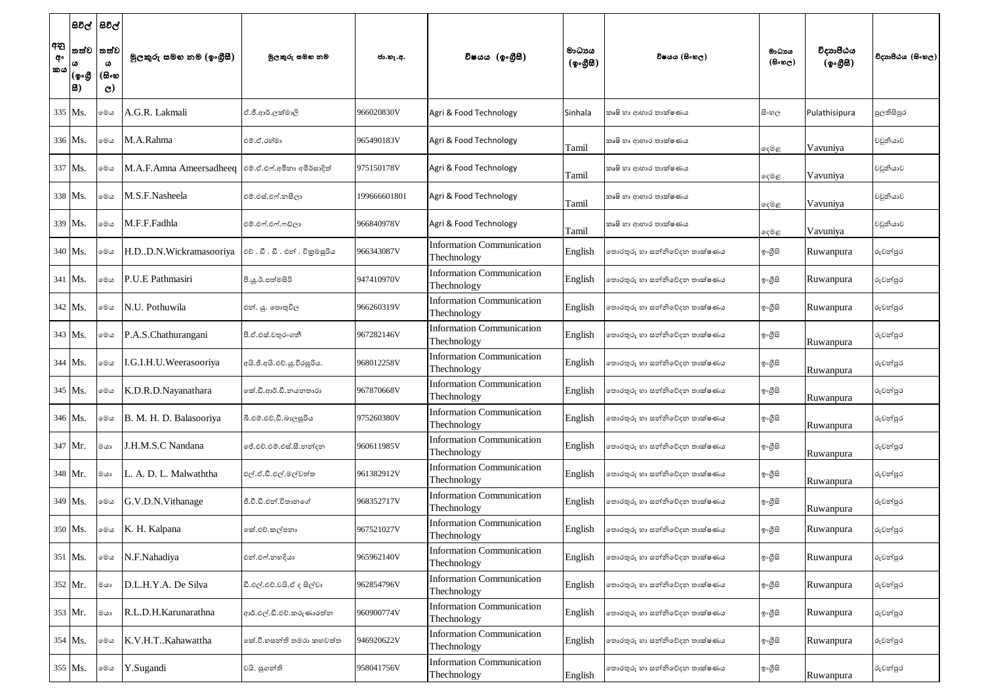| අනු<br>අං<br>'කය | සිවිල්  සිවිල්<br>∣(စွ∘൫<br> සි) | තත්ව  තත්ව<br>ω<br>(සිංහ<br>$\mathbf{C}$ | මූලකුරු සමහ නම (ඉංගීසී)                              | මූලකුරු සමහ නම                | ජා.හැ.අ.     | විෂයය (ඉංගීසී)                                  | මාධායය<br>$(\phi \circ \mathcal{B} \mathcal{B})$ | විෂයය (සිංහල)                | මාධාය<br>$(B \circ \mathfrak{v}_C)$ | විදාහපීඨය<br>(ඉංගීසී) | විදාහපීඨය (සිංහල) |
|------------------|----------------------------------|------------------------------------------|------------------------------------------------------|-------------------------------|--------------|-------------------------------------------------|--------------------------------------------------|------------------------------|-------------------------------------|-----------------------|-------------------|
|                  | 335 Ms.                          | මෙය                                      | A.G.R. Lakmali                                       | ඒ.ජී.ආර්.ලක්මාලි              | 966020830V   | Agri & Food Technology                          | Sinhala                                          | කෘෂි හා ආහාර තාක්ෂණය         | සි∘හල                               | Pulathisipura         | පුලතිසිපුර        |
|                  | 336 Ms.                          | මෙය                                      | M.A.Rahma                                            | එම්.ඒ.රහ්මා                   | 965490183V   | Agri & Food Technology                          | Tamil                                            | කෘෂි හා ආහාර තාක්ෂණය         | දෙමළ                                | Vavuniya              | වවුනියාව          |
|                  | 337 Ms.                          | මෙය                                      | M.A.F.Amna Ameersadheeq  එම්.ඒ.එෆ්.අමිනා අමිර්සාදිත් |                               | 975150178V   | Agri & Food Technology                          | Tamil                                            | කෘෂි හා ආහාර තාක්ෂණය         | දෙමළ                                | Vavuniya              | වවුනියාව          |
|                  | 338 Ms.                          | මෙය                                      | M.S.F.Nasheela                                       | එම්.එස්.එෆ්.නසීලා             | 199666601801 | Agri & Food Technology                          | Tamil                                            | කෘෂි හා ආහාර තාක්ෂණය         | දෙමළ                                | Vavuniya              | වවුනියාව          |
|                  | 339 Ms.                          | මෙය                                      | M.F.F.Fadhla                                         | එම්.එෆ්.එෆ්.ෆඩ්ලා             | 966840978V   | Agri & Food Technology                          | Tamil                                            | කෘෂි හා ආහාර තාක්ෂණය         | දෙමළ                                | Vavuniya              | වවුනියාව          |
|                  | 340 Ms.                          | මෙය                                      | H.D.D.N.Wickramasooriya                              | එච්. ඩී. ඩී. එන් . විකුමසූරිය | 966343087V   | <b>Information Communication</b><br>Thechnology | English                                          | තොරතුරු හා සන්නිවේදන තාක්ෂණය | ඉංගුිසි                             | Ruwanpura             | රුවන්පුර          |
|                  | $341$ Ms.                        | මෙය                                      | P.U.E Pathmasiri                                     | පී.යු.ඊ.පත්මසිරි              | 947410970V   | <b>Information Communication</b><br>Thechnology | English                                          | තොරතුරු හා සන්නිවේදන තාක්ෂණය | ඉංගුිසි                             | Ruwanpura             | රුවන්පුර          |
|                  | $342$ Ms.                        | මෙය                                      | N.U. Pothuwila                                       | එන්. යු. පොතුවිල              | 966260319V   | <b>Information Communication</b><br>Thechnology | English                                          | තොරතුරු හා සන්නිවේදන තාක්ෂණය | ඉ∘ගුිසි                             | Ruwanpura             | රුවන්පුර          |
|                  | 343 Ms.                          | මෙය                                      | P.A.S.Chathurangani                                  | පී.ඒ.එස්.චතුරංගනී             | 967282146V   | <b>Information Communication</b><br>Thechnology | English                                          | තොරතුරු හා සන්නිවේදන තාක්ෂණය | ඉංගුිසි                             | Ruwanpura             | රුවන්පුර          |
|                  | $344$ Ms.                        | මෙය                                      | .G.I.H.U.Weerasooriya                                | අයි.ජී.අයි.එච්.යු.වීරසූරිය.   | 968012258V   | <b>Information Communication</b><br>Thechnology | English                                          | තොරතුරු හා සන්නිවේදන තාක්ෂණය | ඉංගුිසි                             | Ruwanpura             | රුවන්පුර          |
|                  | 345 Ms.                          | මෙය                                      | K.D.R.D.Nayanathara                                  | කේ.ඩී.ආර්.ඩී.නයනතාරා          | 967870668V   | <b>Information Communication</b><br>Thechnology | English                                          | තොරතුරු හා සන්නිවේදන තාක්ෂණය | ඉ∘ගුිසි                             | Ruwanpura             | රුවන්පුර          |
|                  | 346 Ms.                          | මෙය                                      | B. M. H. D. Balasooriya                              | බී.එම්.එච්.ඩී.බාලසූරිය        | 975260380V   | <b>Information Communication</b><br>Thechnology | English                                          | තොරතුරු හා සන්නිවේදන තාක්ෂණය | ඉ∘ගුිසි                             | Ruwanpura             | රුවන්පුර          |
|                  | 347 Mr.                          | මයා                                      | J.H.M.S.C Nandana                                    | ජේ.එච්.එම්.එස්.සී.නන්දන       | 960611985V   | <b>Information Communication</b><br>Thechnology | English                                          | තොරතුරු හා සන්නිවේදන තාක්ෂණය | ඉංගුිසි                             | Ruwanpura             | රුවන්පුර          |
|                  | 348 Mr.                          | මයා                                      | L. A. D. L. Malwaththa                               | එල්.ඒ.ඩී.එල්.මල්වත්ත          | 961382912V   | <b>Information Communication</b><br>Thechnology | English                                          | තොරතුරු හා සන්නිවේදන තාක්ෂණය | ඉංගුිසි                             | Ruwanpura             | රුවන්පුර          |
|                  | 349 Ms.                          | මෙය                                      | G.V.D.N.Vithanage                                    | ජී.වී.ඩී.එන්.විතානගේ          | 968352717V   | <b>Information Communication</b><br>Thechnology | English                                          | තොරතුරු හා සන්නිවේදන තාක්ෂණය | ඉංගුිසි                             | Ruwanpura             | රුවන්පුර          |
|                  | 350 Ms.                          | මෙය                                      | K. H. Kalpana                                        | කේ.එච්.කල්පනා                 | 967521027V   | <b>Information Communication</b><br>Thechnology | English                                          | තොරතුරු හා සන්නිවේදන තාක්ෂණය | ඉංගුිසි                             | Ruwanpura             | රුවන්පුර          |
|                  | 351 Ms.                          | මෙය                                      | N.F.Nahadiya                                         | එන්.එෆ්.නහදියා                | 965962140V   | <b>Information Communication</b><br>Thechnology | English                                          | තොරතුරු හා සන්නිවේදන තාක්ෂණය | ඉ∘ගුිසි                             | Ruwanpura             | රුවන්පුර          |
|                  | $352$ Mr.                        | මයා                                      | D.L.H.Y.A. De Silva                                  | ඩී.එල්.එච්.වයි.ඒ ද සිල්වා     | 962854796V   | <b>Information Communication</b><br>Thechnology | English                                          | තොරතුරු හා සන්නිවේදන තාක්ෂණය | ඉංගුිසි                             | Ruwanpura             | රුවන්පුර          |
|                  | 353 Mr.                          | මයා                                      | R.L.D.H.Karunarathna                                 | ආර්.එල්.ඩී.එච්.කරුණාරත්ත      | 960900774V   | <b>Information Communication</b><br>Thechnology | English                                          | තොරතුරු හා සන්නිවේදන තාක්ෂණය | ඉ∘ගුිසි                             | Ruwanpura             | රුවන්පුර          |
|                  | 354 Ms.                          | මෙය                                      | K.V.H.TKahawattha                                    | කේ.වී.හසන්ති තමරා කහවත්ත      | 946920622V   | <b>Information Communication</b><br>Thechnology | English                                          | තොරතුරු හා සන්නිවේදන තාක්ෂණය | ඉංගීසි                              | Ruwanpura             | රුවන්පුර          |
|                  | 355 Ms.                          | මෙය                                      | Y.Sugandi                                            | වයි. සුගන්ති                  | 958041756V   | <b>Information Communication</b><br>Thechnology | English                                          | තොරතුරු හා සන්නිවේදන තාක්ෂණය | ඉ∘ගීසි                              | Ruwanpura             | රුවන්පුර          |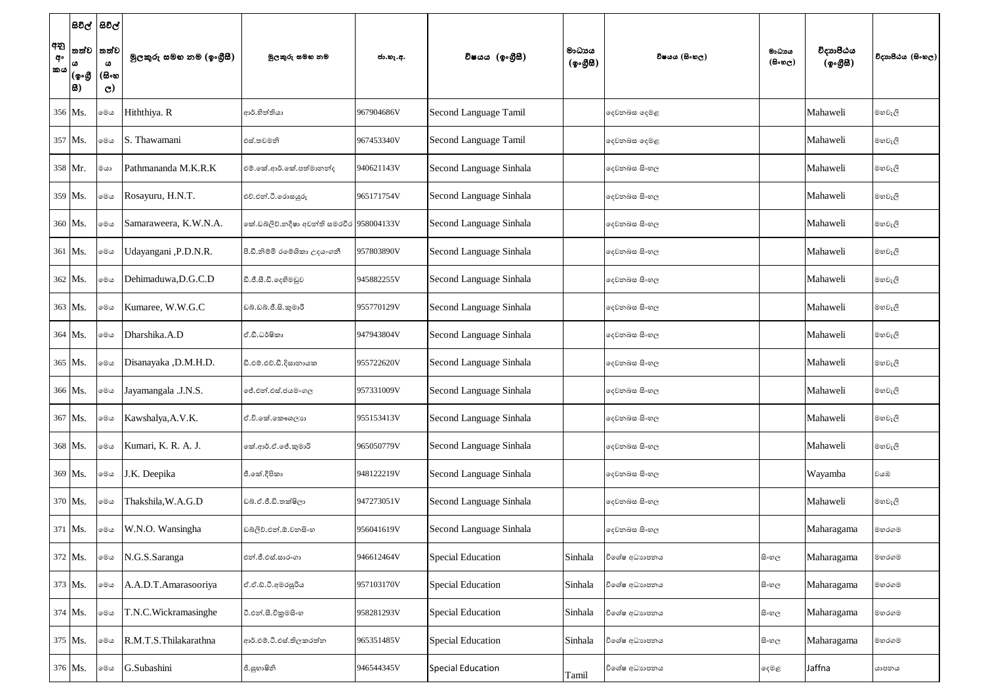|                  |                | සිවිල්  සිවිල්        |                          |                                                        |            |                          |                                                  |               |                                    |                       |                   |
|------------------|----------------|-----------------------|--------------------------|--------------------------------------------------------|------------|--------------------------|--------------------------------------------------|---------------|------------------------------------|-----------------------|-------------------|
| අනු<br>අං<br> කය |                | තත්ව  තත්ව<br>ය       | මූලකුරු සමහ නම (ඉංගුීසී) | මූලකුරු සමහ නම                                         | ජා.හැ.අ.   | විෂයය (ඉංගීසී)           | මාධායය<br>$(\phi \circ \mathcal{B} \mathcal{B})$ | විෂයය (සිංහල) | මාධාය<br>$(\theta \circ \omega_C)$ | විදාහපීඨය<br>(ඉංගීසී) | විදාහපීඨය (සිංහල) |
|                  | (စွ•စ္တ<br> 8) | (සිංහ<br>$\mathbf{C}$ |                          |                                                        |            |                          |                                                  |               |                                    |                       |                   |
|                  | 356 Ms.        | මෙය                   | Hiththiya. R             | ආර්.හිත්තියා                                           | 967904686V | Second Language Tamil    |                                                  | දෙවනබස දෙමළ   |                                    | Mahaweli              | මහවැලි            |
|                  | 357 Ms.        | මෙය                   | S. Thawamani             | එස්.තවමනි                                              | 967453340V | Second Language Tamil    |                                                  | දෙවනබස දෙමළ   |                                    | Mahaweli              | මහවැලි            |
|                  | 358 Mr.        | මයා                   | Pathmananda M.K.R.K      | එම්.කේ.ආර්.කේ.පත්මානන්ද                                | 940621143V | Second Language Sinhala  |                                                  | දෙවනබස සිංහල  |                                    | Mahaweli              | මහවැලි            |
|                  | 359 Ms.        | මෙය                   | Rosayuru, H.N.T.         | එච්.එන්.ටී.රොසයුරු                                     | 965171754V | Second Language Sinhala  |                                                  | දෙවනබස සිංහල  |                                    | Mahaweli              | මහවැලි            |
|                  | 360 Ms.        | මෙය                   | Samaraweera, K.W.N.A.    | කේ.ඩබ්ලිව්.නදීෂා අවන්ති සමරවීර <mark>958004133V</mark> |            | Second Language Sinhala  |                                                  | දෙවනබස සිංහල  |                                    | Mahaweli              | මහවැලි            |
|                  | 361 Ms.        | මෙය                   | Jdayangani, P.D.N.R.     | පී.ඩී.නිම්මි රමේශිකා උදයංගනී                           | 957803890V | Second Language Sinhala  |                                                  | දෙවනබස සිංහල  |                                    | Mahaweli              | මහවැලි            |
|                  | 362 Ms.        | මෙය                   | Dehimaduwa, D.G.C.D      | ඩී.ජී.සී.ඩී.දෙහිමඩුව                                   | 945882255V | Second Language Sinhala  |                                                  | දෙවනබස සිංහල  |                                    | Mahaweli              | මහවැලි            |
|                  | 363 Ms.        | මෙය                   | Kumaree, W.W.G.C         | ඩබ්.ඩබ්.ජී.සි.කුමාරී                                   | 955770129V | Second Language Sinhala  |                                                  | දෙවනබස සිංහල  |                                    | Mahaweli              | මහවැලි            |
|                  | 364 Ms.        | මෙය                   | Dharshika.A.D            | ඒ.ඩී.ධර්ෂිකා                                           | 947943804V | Second Language Sinhala  |                                                  | දෙවනබස සිංහල  |                                    | Mahaweli              | මහවැලි            |
|                  | 365 Ms.        | මෙය                   | Disanayaka , D.M.H.D.    | ඩී.එම්.එච්.ඩී.දිසානායක                                 | 955722620V | Second Language Sinhala  |                                                  | දෙවනබස සිංහල  |                                    | Mahaweli              | මහවැලි            |
|                  | 366 Ms.        | මෙය                   | Jayamangala .J.N.S.      | ේ.එන්.එස්.ජයමංගල                                       | 957331009V | Second Language Sinhala  |                                                  | දෙවනබස සිංහල  |                                    | Mahaweli              | මහවැලි            |
|                  | 367 Ms.        | මෙය                   | Kawshalya, A.V.K.        | ඒ.වී.කේ.කෞශලාන                                         | 955153413V | Second Language Sinhala  |                                                  | දෙවනබස සිංහල  |                                    | Mahaweli              | මහවැලි            |
|                  | 368 Ms.        | මෙය                   | Kumari, K. R. A. J.      | කේ.ආර්.ඒ.ජේ.කුමාරි                                     | 965050779V | Second Language Sinhala  |                                                  | දෙවනබස සිංහල  |                                    | Mahaweli              | මහවැලි            |
|                  | 369 Ms.        | මෙය                   | J.K. Deepika             | ජී.කේ.දීපිකා                                           | 948122219V | Second Language Sinhala  |                                                  | දෙවනබස සිංහල  |                                    | Wayamba               | වයඹ               |
|                  | 370 Ms.        | මෙය                   | Thakshila, W.A.G.D       | ඩබ්.ඒ.ජී.ඩී.තක්ෂිලා                                    | 947273051V | Second Language Sinhala  |                                                  | දෙවනබස සිංහල  |                                    | Mahaweli              | මහවැලි            |
|                  | 371 Ms.        | මෙය                   | W.N.O. Wansingha         | ඩබ්ලිව්.එන්.ඕ.වනසිංහ                                   | 956041619V | Second Language Sinhala  |                                                  | දෙවනබස සිංහල  |                                    | Maharagama            | මහරගම             |
|                  | 372 Ms.        | මෙය                   | N.G.S.Saranga            | එන්.ජී.එස්.සාරංගා                                      | 946612464V | <b>Special Education</b> | Sinhala                                          | විශේෂ අධාහපනය | සිංහල                              | Maharagama            | මහරගම             |
|                  | 373 Ms.        | මෙය                   | A.A.D.T.Amarasooriya     | ඒ.ඒ.ඩ්.ටී.අමරසුරිය                                     | 957103170V | <b>Special Education</b> | Sinhala                                          | විශේෂ අධාහපනය | සි∘හල                              | Maharagama            | මහරගම             |
|                  | 374 Ms.        | මෙය                   | T.N.C.Wickramasinghe     | ටී.එන්.සී.විකුමසිංහ                                    | 958281293V | Special Education        | Sinhala                                          | විශේෂ අධාහපනය | සි∘හල                              | Maharagama            | මහරගම             |
|                  | 375 Ms.        | මෙය                   | R.M.T.S.Thilakarathna    | ආර්.එම්.ටී.එස්.තිලකරත්න                                | 965351485V | <b>Special Education</b> | Sinhala                                          | විශේෂ අධාහපනය | සිංහල                              | Maharagama            | මහරගම             |
|                  | 376 Ms.        | මෙය                   | G.Subashini              | ජි.සුභාෂිනි                                            | 946544345V | Special Education        | Tamil                                            | විශේෂ අධාහපනය | දෙමළ                               | Jaffna                | යාපනය             |